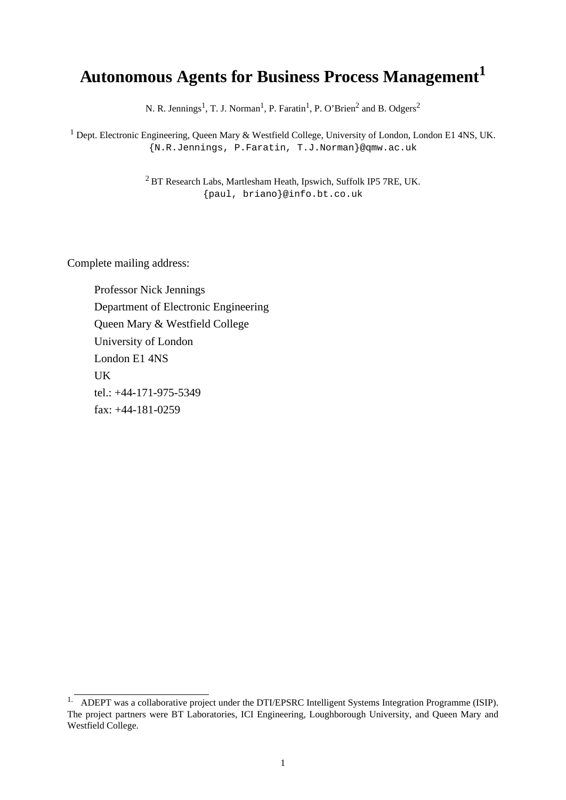# **Autonomous Agents for Business Process Management<sup>1</sup>**

N. R. Jennings<sup>1</sup>, T. J. Norman<sup>1</sup>, P. Faratin<sup>1</sup>, P. O'Brien<sup>2</sup> and B. Odgers<sup>2</sup>

<sup>1</sup> Dept. Electronic Engineering, Queen Mary & Westfield College, University of London, London E1 4NS, UK. {N.R.Jennings, P.Faratin, T.J.Norman}@qmw.ac.uk

> <sup>2</sup> BT Research Labs, Martlesham Heath, Ipswich, Suffolk IP5 7RE, UK. {paul, briano}@info.bt.co.uk

Complete mailing address:

Professor Nick Jennings Department of Electronic Engineering Queen Mary & Westfield College University of London London E1 4NS UK tel.: +44-171-975-5349 fax: +44-181-0259

<sup>&</sup>lt;sup>1.</sup> ADEPT was a collaborative project under the DTI/EPSRC Intelligent Systems Integration Programme (ISIP). The project partners were BT Laboratories, ICI Engineering, Loughborough University, and Queen Mary and Westfield College.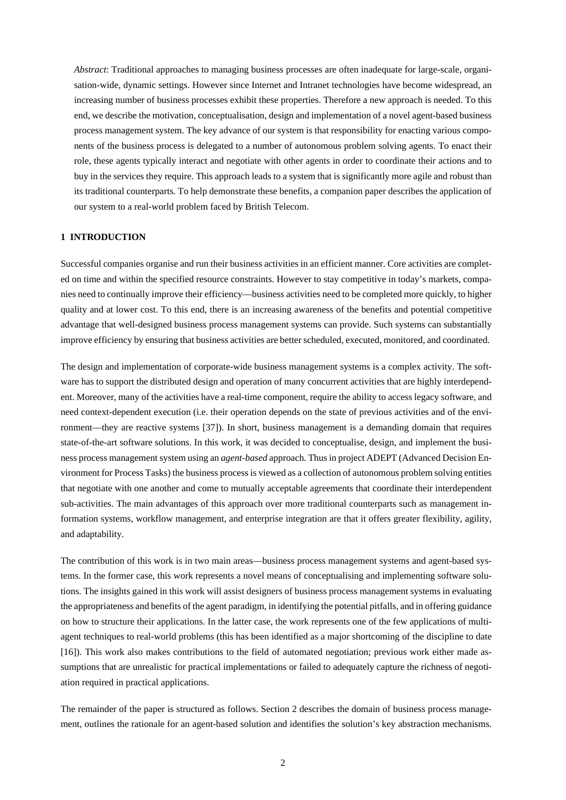*Abstract*: Traditional approaches to managing business processes are often inadequate for large-scale, organisation-wide, dynamic settings. However since Internet and Intranet technologies have become widespread, an increasing number of business processes exhibit these properties. Therefore a new approach is needed. To this end, we describe the motivation, conceptualisation, design and implementation of a novel agent-based business process management system. The key advance of our system is that responsibility for enacting various components of the business process is delegated to a number of autonomous problem solving agents. To enact their role, these agents typically interact and negotiate with other agents in order to coordinate their actions and to buy in the services they require. This approach leads to a system that is significantly more agile and robust than its traditional counterparts. To help demonstrate these benefits, a companion paper describes the application of our system to a real-world problem faced by British Telecom.

# **1 INTRODUCTION**

Successful companies organise and run their business activities in an efficient manner. Core activities are completed on time and within the specified resource constraints. However to stay competitive in today's markets, companies need to continually improve their efficiency—business activities need to be completed more quickly, to higher quality and at lower cost. To this end, there is an increasing awareness of the benefits and potential competitive advantage that well-designed business process management systems can provide. Such systems can substantially improve efficiency by ensuring that business activities are better scheduled, executed, monitored, and coordinated.

The design and implementation of corporate-wide business management systems is a complex activity. The software has to support the distributed design and operation of many concurrent activities that are highly interdependent. Moreover, many of the activities have a real-time component, require the ability to access legacy software, and need context-dependent execution (i.e. their operation depends on the state of previous activities and of the environment—they are reactive systems [37]). In short, business management is a demanding domain that requires state-of-the-art software solutions. In this work, it was decided to conceptualise, design, and implement the business process management system using an *agent-based* approach. Thus in project ADEPT (Advanced Decision Environment for Process Tasks) the business process is viewed as a collection of autonomous problem solving entities that negotiate with one another and come to mutually acceptable agreements that coordinate their interdependent sub-activities. The main advantages of this approach over more traditional counterparts such as management information systems, workflow management, and enterprise integration are that it offers greater flexibility, agility, and adaptability.

The contribution of this work is in two main areas—business process management systems and agent-based systems. In the former case, this work represents a novel means of conceptualising and implementing software solutions. The insights gained in this work will assist designers of business process management systems in evaluating the appropriateness and benefits of the agent paradigm, in identifying the potential pitfalls, and in offering guidance on how to structure their applications. In the latter case, the work represents one of the few applications of multiagent techniques to real-world problems (this has been identified as a major shortcoming of the discipline to date [16]). This work also makes contributions to the field of automated negotiation; previous work either made assumptions that are unrealistic for practical implementations or failed to adequately capture the richness of negotiation required in practical applications.

The remainder of the paper is structured as follows. Section 2 describes the domain of business process management, outlines the rationale for an agent-based solution and identifies the solution's key abstraction mechanisms.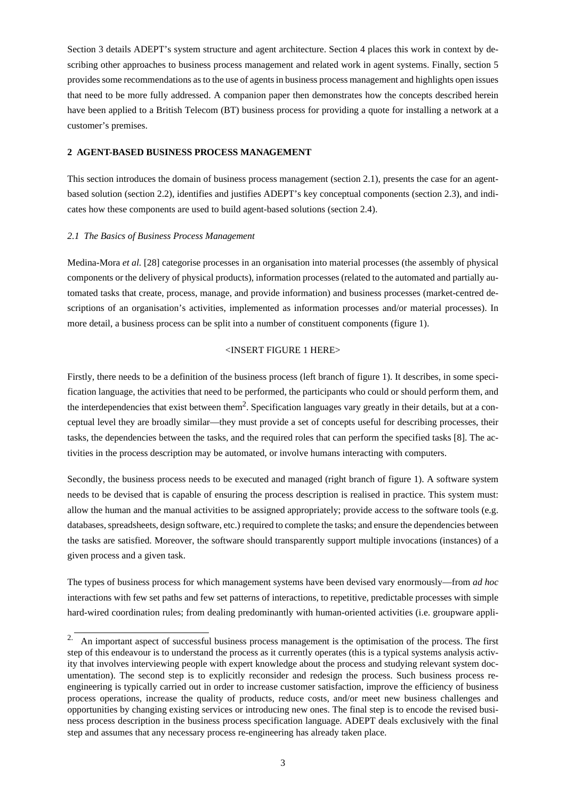Section 3 details ADEPT's system structure and agent architecture. Section 4 places this work in context by describing other approaches to business process management and related work in agent systems. Finally, section 5 providessome recommendations asto the use of agentsin business process management and highlights open issues that need to be more fully addressed. A companion paper then demonstrates how the concepts described herein have been applied to a British Telecom (BT) business process for providing a quote for installing a network at a customer's premises.

### **2 AGENT-BASED BUSINESS PROCESS MANAGEMENT**

This section introduces the domain of business process management (section 2.1), presents the case for an agentbased solution (section 2.2), identifies and justifies ADEPT's key conceptual components (section 2.3), and indicates how these components are used to build agent-based solutions (section 2.4).

### *2.1 The Basics of Business Process Management*

Medina-Mora *et al.* [28] categorise processes in an organisation into material processes (the assembly of physical components or the delivery of physical products), information processes (related to the automated and partially automated tasks that create, process, manage, and provide information) and business processes (market-centred descriptions of an organisation's activities, implemented as information processes and/or material processes). In more detail, a business process can be split into a number of constituent components (figure 1).

# <INSERT FIGURE 1 HERE>

Firstly, there needs to be a definition of the business process (left branch of figure 1). It describes, in some specification language, the activities that need to be performed, the participants who could or should perform them, and the interdependencies that exist between them<sup>2</sup>. Specification languages vary greatly in their details, but at a conceptual level they are broadly similar—they must provide a set of concepts useful for describing processes, their tasks, the dependencies between the tasks, and the required roles that can perform the specified tasks [8]. The activities in the process description may be automated, or involve humans interacting with computers.

Secondly, the business process needs to be executed and managed (right branch of figure 1). A software system needs to be devised that is capable of ensuring the process description is realised in practice. This system must: allow the human and the manual activities to be assigned appropriately; provide access to the software tools (e.g. databases, spreadsheets, design software, etc.) required to complete the tasks; and ensure the dependencies between the tasks are satisfied. Moreover, the software should transparently support multiple invocations (instances) of a given process and a given task.

The types of business process for which management systems have been devised vary enormously—from *ad hoc* interactions with few set paths and few set patterns of interactions, to repetitive, predictable processes with simple hard-wired coordination rules; from dealing predominantly with human-oriented activities (i.e. groupware appli-

<sup>&</sup>lt;sup>2.</sup> An important aspect of successful business process management is the optimisation of the process. The first step of this endeavour is to understand the process as it currently operates (this is a typical systems analysis activity that involves interviewing people with expert knowledge about the process and studying relevant system documentation). The second step is to explicitly reconsider and redesign the process. Such business process reengineering is typically carried out in order to increase customer satisfaction, improve the efficiency of business process operations, increase the quality of products, reduce costs, and/or meet new business challenges and opportunities by changing existing services or introducing new ones. The final step is to encode the revised business process description in the business process specification language. ADEPT deals exclusively with the final step and assumes that any necessary process re-engineering has already taken place.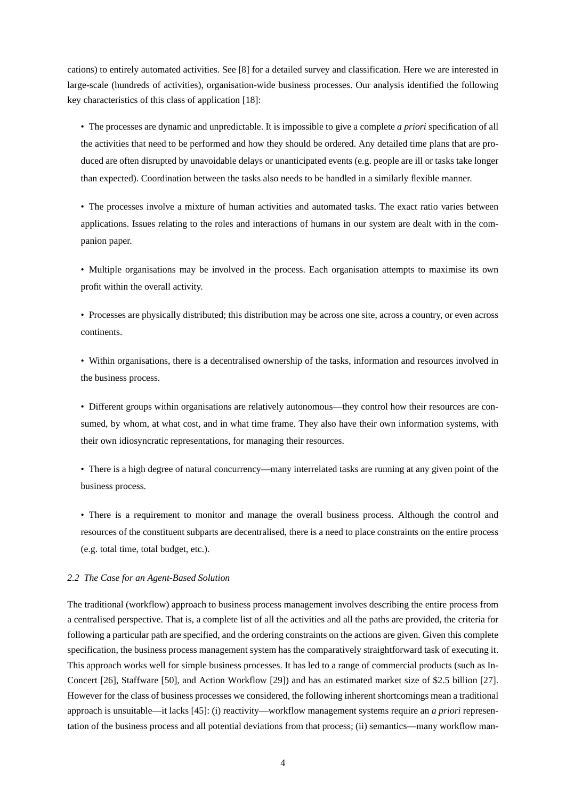cations) to entirely automated activities. See [8] for a detailed survey and classification. Here we are interested in large-scale (hundreds of activities), organisation-wide business processes. Our analysis identified the following key characteristics of this class of application [18]:

• The processes are dynamic and unpredictable. It is impossible to give a complete *a priori* specification of all the activities that need to be performed and how they should be ordered. Any detailed time plans that are produced are often disrupted by unavoidable delays or unanticipated events (e.g. people are ill or tasks take longer than expected). Coordination between the tasks also needs to be handled in a similarly flexible manner.

• The processes involve a mixture of human activities and automated tasks. The exact ratio varies between applications. Issues relating to the roles and interactions of humans in our system are dealt with in the companion paper.

• Multiple organisations may be involved in the process. Each organisation attempts to maximise its own profit within the overall activity.

• Processes are physically distributed; this distribution may be across one site, across a country, or even across continents.

• Within organisations, there is a decentralised ownership of the tasks, information and resources involved in the business process.

• Different groups within organisations are relatively autonomous—they control how their resources are consumed, by whom, at what cost, and in what time frame. They also have their own information systems, with their own idiosyncratic representations, for managing their resources.

• There is a high degree of natural concurrency—many interrelated tasks are running at any given point of the business process.

• There is a requirement to monitor and manage the overall business process. Although the control and resources of the constituent subparts are decentralised, there is a need to place constraints on the entire process (e.g. total time, total budget, etc.).

#### *2.2 The Case for an Agent-Based Solution*

The traditional (workflow) approach to business process management involves describing the entire process from a centralised perspective. That is, a complete list of all the activities and all the paths are provided, the criteria for following a particular path are specified, and the ordering constraints on the actions are given. Given this complete specification, the business process management system has the comparatively straightforward task of executing it. This approach works well for simple business processes. It has led to a range of commercial products (such as In-Concert [26], Staffware [50], and Action Workflow [29]) and has an estimated market size of \$2.5 billion [27]. However for the class of business processes we considered, the following inherent shortcomings mean a traditional approach is unsuitable—it lacks [45]: (i) reactivity—workflow management systems require an *a priori* representation of the business process and all potential deviations from that process; (ii) semantics—many workflow man-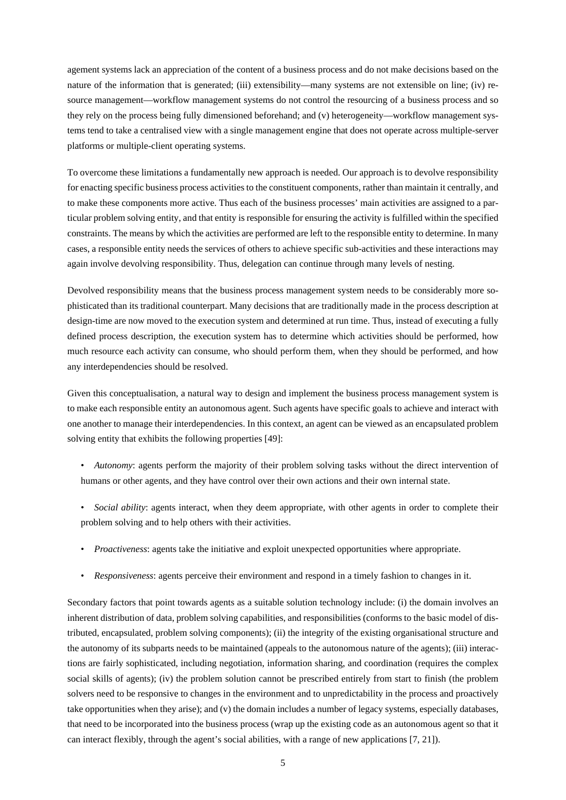agement systems lack an appreciation of the content of a business process and do not make decisions based on the nature of the information that is generated; (iii) extensibility—many systems are not extensible on line; (iv) resource management—workflow management systems do not control the resourcing of a business process and so they rely on the process being fully dimensioned beforehand; and (v) heterogeneity—workflow management systems tend to take a centralised view with a single management engine that does not operate across multiple-server platforms or multiple-client operating systems.

To overcome these limitations a fundamentally new approach is needed. Our approach is to devolve responsibility for enacting specific business process activitiesto the constituent components, rather than maintain it centrally, and to make these components more active. Thus each of the business processes' main activities are assigned to a particular problem solving entity, and that entity is responsible for ensuring the activity is fulfilled within the specified constraints. The means by which the activities are performed are leftto the responsible entity to determine. In many cases, a responsible entity needs the services of others to achieve specific sub-activities and these interactions may again involve devolving responsibility. Thus, delegation can continue through many levels of nesting.

Devolved responsibility means that the business process management system needs to be considerably more sophisticated than its traditional counterpart. Many decisions that are traditionally made in the process description at design-time are now moved to the execution system and determined at run time. Thus, instead of executing a fully defined process description, the execution system has to determine which activities should be performed, how much resource each activity can consume, who should perform them, when they should be performed, and how any interdependencies should be resolved.

Given this conceptualisation, a natural way to design and implement the business process management system is to make each responsible entity an autonomous agent. Such agents have specific goals to achieve and interact with one another to manage their interdependencies. In this context, an agent can be viewed as an encapsulated problem solving entity that exhibits the following properties [49]:

- *Autonomy*: agents perform the majority of their problem solving tasks without the direct intervention of humans or other agents, and they have control over their own actions and their own internal state.
- *Social ability*: agents interact, when they deem appropriate, with other agents in order to complete their problem solving and to help others with their activities.
- *Proactiveness*: agents take the initiative and exploit unexpected opportunities where appropriate.
- *Responsiveness*: agents perceive their environment and respond in a timely fashion to changes in it.

Secondary factors that point towards agents as a suitable solution technology include: (i) the domain involves an inherent distribution of data, problem solving capabilities, and responsibilities (conforms to the basic model of distributed, encapsulated, problem solving components); (ii) the integrity of the existing organisational structure and the autonomy of its subparts needs to be maintained (appeals to the autonomous nature of the agents); (iii) interactions are fairly sophisticated, including negotiation, information sharing, and coordination (requires the complex social skills of agents); (iv) the problem solution cannot be prescribed entirely from start to finish (the problem solvers need to be responsive to changes in the environment and to unpredictability in the process and proactively take opportunities when they arise); and (v) the domain includes a number of legacy systems, especially databases, that need to be incorporated into the business process (wrap up the existing code as an autonomous agent so that it can interact flexibly, through the agent's social abilities, with a range of new applications [7, 21]).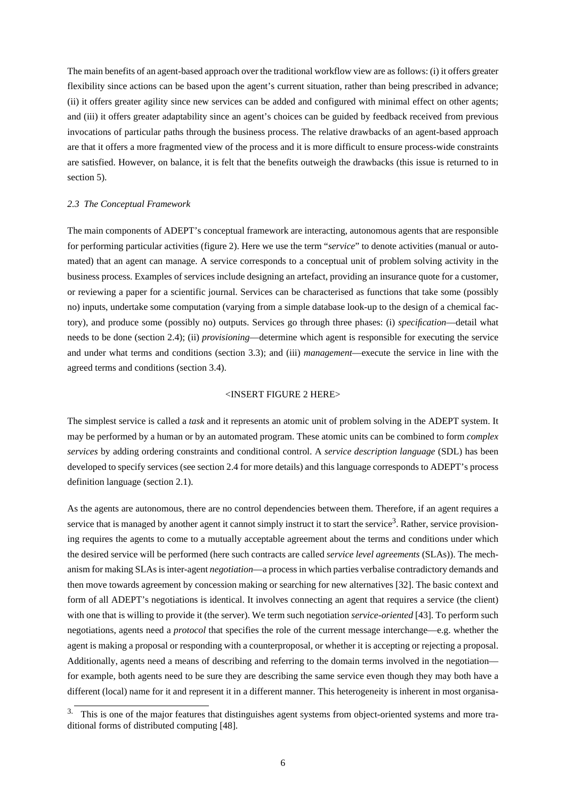The main benefits of an agent-based approach over the traditional workflow view are as follows: (i) it offers greater flexibility since actions can be based upon the agent's current situation, rather than being prescribed in advance; (ii) it offers greater agility since new services can be added and configured with minimal effect on other agents; and (iii) it offers greater adaptability since an agent's choices can be guided by feedback received from previous invocations of particular paths through the business process. The relative drawbacks of an agent-based approach are that it offers a more fragmented view of the process and it is more difficult to ensure process-wide constraints are satisfied. However, on balance, it is felt that the benefits outweigh the drawbacks (this issue is returned to in section 5).

#### *2.3 The Conceptual Framework*

The main components of ADEPT's conceptual framework are interacting, autonomous agents that are responsible for performing particular activities (figure 2). Here we use the term "*service*" to denote activities (manual or automated) that an agent can manage. A service corresponds to a conceptual unit of problem solving activity in the business process. Examples of services include designing an artefact, providing an insurance quote for a customer, or reviewing a paper for a scientific journal. Services can be characterised as functions that take some (possibly no) inputs, undertake some computation (varying from a simple database look-up to the design of a chemical factory), and produce some (possibly no) outputs. Services go through three phases: (i) *specification*—detail what needs to be done (section 2.4); (ii) *provisioning*—determine which agent is responsible for executing the service and under what terms and conditions (section 3.3); and (iii) *management*—execute the service in line with the agreed terms and conditions (section 3.4).

#### <INSERT FIGURE 2 HERE>

The simplest service is called a *task* and it represents an atomic unit of problem solving in the ADEPT system. It may be performed by a human or by an automated program. These atomic units can be combined to form *complex services* by adding ordering constraints and conditional control. A *service description language* (SDL) has been developed to specify services (see section 2.4 for more details) and this language corresponds to ADEPT's process definition language (section 2.1).

As the agents are autonomous, there are no control dependencies between them. Therefore, if an agent requires a service that is managed by another agent it cannot simply instruct it to start the service<sup>3</sup>. Rather, service provisioning requires the agents to come to a mutually acceptable agreement about the terms and conditions under which the desired service will be performed (here such contracts are called *service level agreements* (SLAs)). The mechanism for making SLAs is inter-agent *negotiation*—a process in which parties verbalise contradictory demands and then move towards agreement by concession making or searching for new alternatives [32]. The basic context and form of all ADEPT's negotiations is identical. It involves connecting an agent that requires a service (the client) with one that is willing to provide it (the server). We term such negotiation *service-oriented* [43]. To perform such negotiations, agents need a *protocol* that specifies the role of the current message interchange—e.g. whether the agent is making a proposal or responding with a counterproposal, or whether it is accepting or rejecting a proposal. Additionally, agents need a means of describing and referring to the domain terms involved in the negotiation for example, both agents need to be sure they are describing the same service even though they may both have a different (local) name for it and represent it in a different manner. This heterogeneity is inherent in most organisa-

<sup>&</sup>lt;sup>3.</sup> This is one of the major features that distinguishes agent systems from object-oriented systems and more traditional forms of distributed computing [48].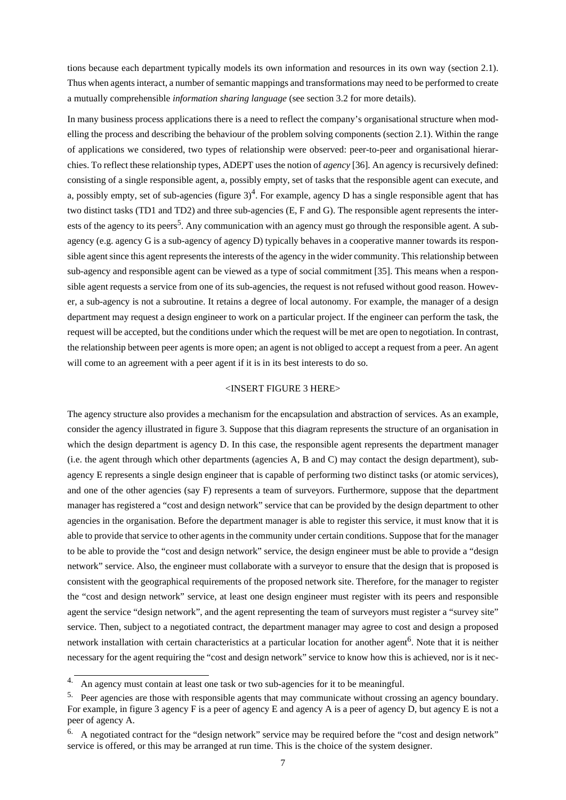tions because each department typically models its own information and resources in its own way (section 2.1). Thus when agents interact, a number of semantic mappings and transformations may need to be performed to create a mutually comprehensible *information sharing language* (see section 3.2 for more details).

In many business process applications there is a need to reflect the company's organisational structure when modelling the process and describing the behaviour of the problem solving components (section 2.1). Within the range of applications we considered, two types of relationship were observed: peer-to-peer and organisational hierarchies. To reflect these relationship types, ADEPT uses the notion of *agency* [36]. An agency is recursively defined: consisting of a single responsible agent, a, possibly empty, set of tasks that the responsible agent can execute, and a, possibly empty, set of sub-agencies (figure  $3)^4$ . For example, agency D has a single responsible agent that has two distinct tasks (TD1 and TD2) and three sub-agencies (E, F and G). The responsible agent represents the interests of the agency to its peers<sup>5</sup>. Any communication with an agency must go through the responsible agent. A subagency (e.g. agency G is a sub-agency of agency D) typically behaves in a cooperative manner towards its responsible agent since this agent represents the interests of the agency in the wider community. This relationship between sub-agency and responsible agent can be viewed as a type of social commitment [35]. This means when a responsible agent requests a service from one of its sub-agencies, the request is not refused without good reason. However, a sub-agency is not a subroutine. It retains a degree of local autonomy. For example, the manager of a design department may request a design engineer to work on a particular project. If the engineer can perform the task, the request will be accepted, butthe conditions under which the request will be met are open to negotiation. In contrast, the relationship between peer agents is more open; an agent is not obliged to accept a request from a peer. An agent will come to an agreement with a peer agent if it is in its best interests to do so.

#### <INSERT FIGURE 3 HERE>

The agency structure also provides a mechanism for the encapsulation and abstraction of services. As an example, consider the agency illustrated in figure 3. Suppose that this diagram represents the structure of an organisation in which the design department is agency D. In this case, the responsible agent represents the department manager (i.e. the agent through which other departments (agencies A, B and C) may contact the design department), subagency E represents a single design engineer that is capable of performing two distinct tasks (or atomic services), and one of the other agencies (say F) represents a team of surveyors. Furthermore, suppose that the department manager has registered a "cost and design network" service that can be provided by the design department to other agencies in the organisation. Before the department manager is able to register this service, it must know that it is able to provide that service to other agents in the community under certain conditions. Suppose that for the manager to be able to provide the "cost and design network" service, the design engineer must be able to provide a "design network" service. Also, the engineer must collaborate with a surveyor to ensure that the design that is proposed is consistent with the geographical requirements of the proposed network site. Therefore, for the manager to register the "cost and design network" service, at least one design engineer must register with its peers and responsible agent the service "design network", and the agent representing the team of surveyors must register a "survey site" service. Then, subject to a negotiated contract, the department manager may agree to cost and design a proposed network installation with certain characteristics at a particular location for another agent<sup>6</sup>. Note that it is neither necessary for the agent requiring the "cost and design network" service to know how this is achieved, nor is it nec-

<sup>4.</sup> An agency must contain at least one task or two sub-agencies for it to be meaningful.

<sup>&</sup>lt;sup>5.</sup> Peer agencies are those with responsible agents that may communicate without crossing an agency boundary. For example, in figure 3 agency F is a peer of agency E and agency A is a peer of agency D, but agency E is not a peer of agency A.

<sup>&</sup>lt;sup>6.</sup> A negotiated contract for the "design network" service may be required before the "cost and design network" service is offered, or this may be arranged at run time. This is the choice of the system designer.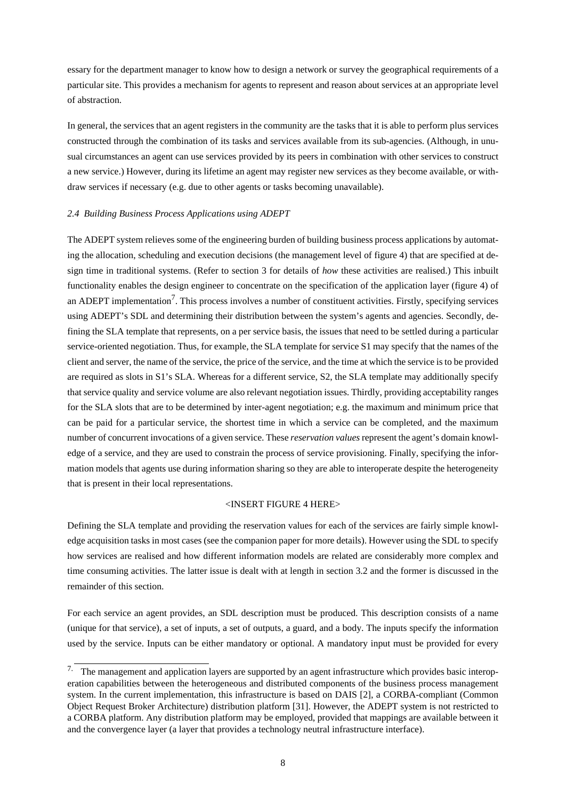essary for the department manager to know how to design a network or survey the geographical requirements of a particular site. This provides a mechanism for agents to represent and reason about services at an appropriate level of abstraction.

In general, the services that an agent registers in the community are the tasks that it is able to perform plus services constructed through the combination of its tasks and services available from its sub-agencies. (Although, in unusual circumstances an agent can use services provided by its peers in combination with other services to construct a new service.) However, during its lifetime an agent may register new services as they become available, or withdraw services if necessary (e.g. due to other agents or tasks becoming unavailable).

### *2.4 Building Business Process Applications using ADEPT*

The ADEPT system relieves some of the engineering burden of building business process applications by automating the allocation, scheduling and execution decisions (the management level of figure 4) that are specified at design time in traditional systems. (Refer to section 3 for details of *how* these activities are realised.) This inbuilt functionality enables the design engineer to concentrate on the specification of the application layer (figure 4) of an ADEPT implementation<sup>7</sup>. This process involves a number of constituent activities. Firstly, specifying services using ADEPT's SDL and determining their distribution between the system's agents and agencies. Secondly, defining the SLA template that represents, on a per service basis, the issues that need to be settled during a particular service-oriented negotiation. Thus, for example, the SLA template for service S1 may specify that the names of the client and server, the name of the service, the price of the service, and the time at which the service is to be provided are required as slots in S1's SLA. Whereas for a different service, S2, the SLA template may additionally specify that service quality and service volume are also relevant negotiation issues. Thirdly, providing acceptability ranges for the SLA slots that are to be determined by inter-agent negotiation; e.g. the maximum and minimum price that can be paid for a particular service, the shortest time in which a service can be completed, and the maximum number of concurrentinvocations of a given service. These *reservation values*representthe agent's domain knowledge of a service, and they are used to constrain the process of service provisioning. Finally, specifying the information models that agents use during information sharing so they are able to interoperate despite the heterogeneity that is present in their local representations.

#### <INSERT FIGURE 4 HERE>

Defining the SLA template and providing the reservation values for each of the services are fairly simple knowledge acquisition tasks in most cases (see the companion paper for more details). However using the SDL to specify how services are realised and how different information models are related are considerably more complex and time consuming activities. The latter issue is dealt with at length in section 3.2 and the former is discussed in the remainder of this section.

For each service an agent provides, an SDL description must be produced. This description consists of a name (unique for that service), a set of inputs, a set of outputs, a guard, and a body. The inputs specify the information used by the service. Inputs can be either mandatory or optional. A mandatory input must be provided for every

<sup>&</sup>lt;sup>7.</sup> The management and application layers are supported by an agent infrastructure which provides basic interoperation capabilities between the heterogeneous and distributed components of the business process management system. In the current implementation, this infrastructure is based on DAIS [2], a CORBA-compliant (Common Object Request Broker Architecture) distribution platform [31]. However, the ADEPT system is not restricted to a CORBA platform. Any distribution platform may be employed, provided that mappings are available between it and the convergence layer (a layer that provides a technology neutral infrastructure interface).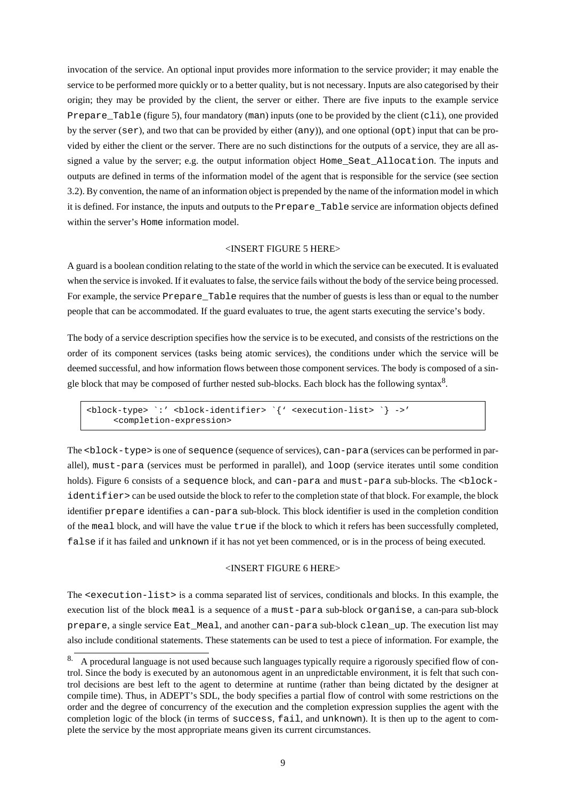invocation of the service. An optional input provides more information to the service provider; it may enable the service to be performed more quickly or to a better quality, but is not necessary. Inputs are also categorised by their origin; they may be provided by the client, the server or either. There are five inputs to the example service Prepare\_Table (figure 5), four mandatory (man) inputs (one to be provided by the client (cli), one provided by the server (ser), and two that can be provided by either (any)), and one optional (opt) input that can be provided by either the client or the server. There are no such distinctions for the outputs of a service, they are all assigned a value by the server; e.g. the output information object Home\_Seat\_Allocation. The inputs and outputs are defined in terms of the information model of the agent that is responsible for the service (see section 3.2). By convention, the name of an information object is prepended by the name of the information model in which it is defined. For instance, the inputs and outputs to the Prepare\_Table service are information objects defined within the server's Home information model.

# <INSERT FIGURE 5 HERE>

A guard is a boolean condition relating to the state of the world in which the service can be executed. Itis evaluated when the service is invoked. If it evaluates to false, the service fails without the body of the service being processed. For example, the service Prepare\_Table requires that the number of guests is less than or equal to the number people that can be accommodated. If the guard evaluates to true, the agent starts executing the service's body.

The body of a service description specifies how the service is to be executed, and consists of the restrictions on the order of its component services (tasks being atomic services), the conditions under which the service will be deemed successful, and how information flows between those component services. The body is composed of a single block that may be composed of further nested sub-blocks. Each block has the following syntax $8$ .

```
<block-type> `:' <block-identifier> `{' <execution-list> `} ->'
     <completion-expression>
```
The <br/>block-type> is one of sequence (sequence of services), can-para (services can be performed in parallel), must-para (services must be performed in parallel), and loop (service iterates until some condition holds). Figure 6 consists of a sequence block, and can-para and must-para sub-blocks. The <br/>blockidentifier> can be used outside the block to refer to the completion state of that block. For example, the block identifier prepare identifies a can-para sub-block. This block identifier is used in the completion condition of the meal block, and will have the value true if the block to which it refers has been successfully completed, false if it has failed and unknown if it has not yet been commenced, or is in the process of being executed.

#### <INSERT FIGURE 6 HERE>

The <execution-list> is a comma separated list of services, conditionals and blocks. In this example, the execution list of the block meal is a sequence of a must-para sub-block organise, a can-para sub-block prepare, a single service Eat\_Meal, and another can-para sub-block clean\_up. The execution list may also include conditional statements. These statements can be used to test a piece of information. For example, the

<sup>8.</sup> A procedural language is not used because such languages typically require a rigorously specified flow of control. Since the body is executed by an autonomous agent in an unpredictable environment, it is felt that such control decisions are best left to the agent to determine at runtime (rather than being dictated by the designer at compile time). Thus, in ADEPT's SDL, the body specifies a partial flow of control with some restrictions on the order and the degree of concurrency of the execution and the completion expression supplies the agent with the completion logic of the block (in terms of success, fail, and unknown). It is then up to the agent to complete the service by the most appropriate means given its current circumstances.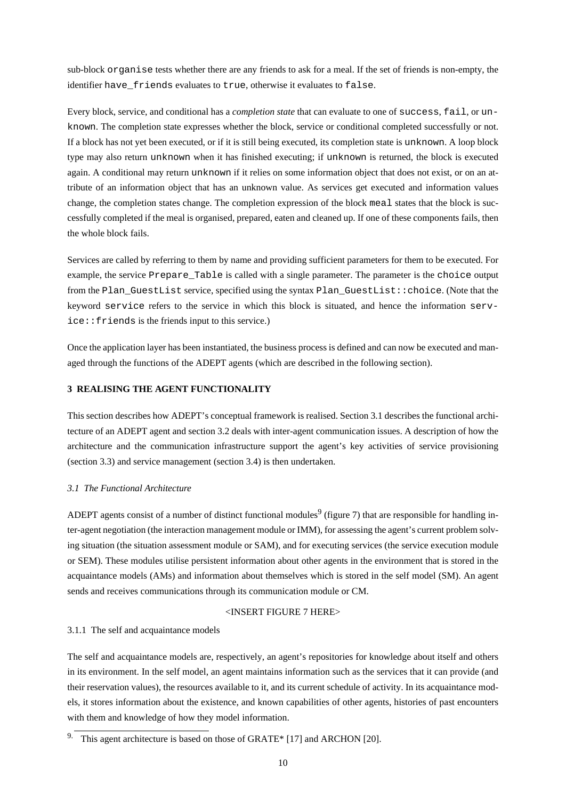sub-block organise tests whether there are any friends to ask for a meal. If the set of friends is non-empty, the identifier have friends evaluates to true, otherwise it evaluates to false.

Every block, service, and conditional has a *completion state* that can evaluate to one of success, fail, or unknown. The completion state expresses whether the block, service or conditional completed successfully or not. If a block has not yet been executed, or if it is still being executed, its completion state is unknown. A loop block type may also return unknown when it has finished executing; if unknown is returned, the block is executed again. A conditional may return unknown if it relies on some information object that does not exist, or on an attribute of an information object that has an unknown value. As services get executed and information values change, the completion states change. The completion expression of the block meal states that the block is successfully completed if the meal is organised, prepared, eaten and cleaned up. If one of these components fails, then the whole block fails.

Services are called by referring to them by name and providing sufficient parameters for them to be executed. For example, the service Prepare\_Table is called with a single parameter. The parameter is the choice output from the Plan\_GuestList service, specified using the syntax Plan\_GuestList::choice. (Note that the keyword service refers to the service in which this block is situated, and hence the information service::friends is the friends input to this service.)

Once the application layer has been instantiated, the business process is defined and can now be executed and managed through the functions of the ADEPT agents (which are described in the following section).

# **3 REALISING THE AGENT FUNCTIONALITY**

This section describes how ADEPT's conceptual framework is realised. Section 3.1 describes the functional architecture of an ADEPT agent and section 3.2 deals with inter-agent communication issues. A description of how the architecture and the communication infrastructure support the agent's key activities of service provisioning (section 3.3) and service management (section 3.4) is then undertaken.

# *3.1 The Functional Architecture*

ADEPT agents consist of a number of distinct functional modules<sup>9</sup> (figure 7) that are responsible for handling inter-agent negotiation (the interaction management module or IMM), for assessing the agent's current problem solving situation (the situation assessment module or SAM), and for executing services (the service execution module or SEM). These modules utilise persistent information about other agents in the environment that is stored in the acquaintance models (AMs) and information about themselves which is stored in the self model (SM). An agent sends and receives communications through its communication module or CM.

# <INSERT FIGURE 7 HERE>

# 3.1.1 The self and acquaintance models

The self and acquaintance models are, respectively, an agent's repositories for knowledge about itself and others in its environment. In the self model, an agent maintains information such as the services that it can provide (and their reservation values), the resources available to it, and its current schedule of activity. In its acquaintance models, it stores information about the existence, and known capabilities of other agents, histories of past encounters with them and knowledge of how they model information.

<sup>&</sup>lt;sup>9.</sup> This agent architecture is based on those of GRATE\* [17] and ARCHON [20].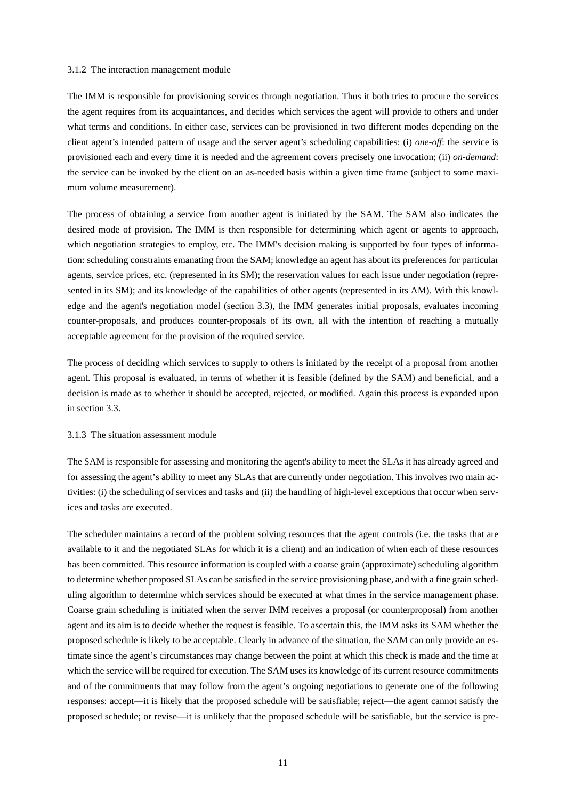#### 3.1.2 The interaction management module

The IMM is responsible for provisioning services through negotiation. Thus it both tries to procure the services the agent requires from its acquaintances, and decides which services the agent will provide to others and under what terms and conditions. In either case, services can be provisioned in two different modes depending on the client agent's intended pattern of usage and the server agent's scheduling capabilities: (i) *one-off*: the service is provisioned each and every time it is needed and the agreement covers precisely one invocation; (ii) *on-demand*: the service can be invoked by the client on an as-needed basis within a given time frame (subject to some maximum volume measurement).

The process of obtaining a service from another agent is initiated by the SAM. The SAM also indicates the desired mode of provision. The IMM is then responsible for determining which agent or agents to approach, which negotiation strategies to employ, etc. The IMM's decision making is supported by four types of information: scheduling constraints emanating from the SAM; knowledge an agent has about its preferences for particular agents, service prices, etc. (represented in its SM); the reservation values for each issue under negotiation (represented in its SM); and its knowledge of the capabilities of other agents (represented in its AM). With this knowledge and the agent's negotiation model (section 3.3), the IMM generates initial proposals, evaluates incoming counter-proposals, and produces counter-proposals of its own, all with the intention of reaching a mutually acceptable agreement for the provision of the required service.

The process of deciding which services to supply to others is initiated by the receipt of a proposal from another agent. This proposal is evaluated, in terms of whether it is feasible (defined by the SAM) and beneficial, and a decision is made as to whether it should be accepted, rejected, or modified. Again this process is expanded upon in section 3.3.

# 3.1.3 The situation assessment module

The SAM is responsible for assessing and monitoring the agent's ability to meet the SLAs it has already agreed and for assessing the agent's ability to meet any SLAs that are currently under negotiation. This involves two main activities: (i) the scheduling of services and tasks and (ii) the handling of high-level exceptions that occur when services and tasks are executed.

The scheduler maintains a record of the problem solving resources that the agent controls (i.e. the tasks that are available to it and the negotiated SLAs for which it is a client) and an indication of when each of these resources has been committed. This resource information is coupled with a coarse grain (approximate) scheduling algorithm to determine whether proposed SLAs can be satisfied in the service provisioning phase, and with a fine grain scheduling algorithm to determine which services should be executed at what times in the service management phase. Coarse grain scheduling is initiated when the server IMM receives a proposal (or counterproposal) from another agent and its aim is to decide whether the request is feasible. To ascertain this, the IMM asks its SAM whether the proposed schedule is likely to be acceptable. Clearly in advance of the situation, the SAM can only provide an estimate since the agent's circumstances may change between the point at which this check is made and the time at which the service will be required for execution. The SAM uses its knowledge of its current resource commitments and of the commitments that may follow from the agent's ongoing negotiations to generate one of the following responses: accept—it is likely that the proposed schedule will be satisfiable; reject—the agent cannot satisfy the proposed schedule; or revise—it is unlikely that the proposed schedule will be satisfiable, but the service is pre-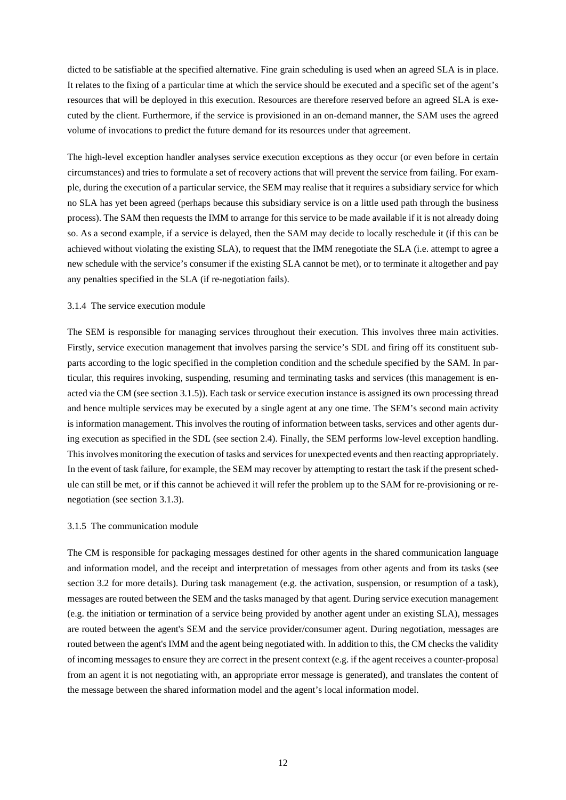dicted to be satisfiable at the specified alternative. Fine grain scheduling is used when an agreed SLA is in place. It relates to the fixing of a particular time at which the service should be executed and a specific set of the agent's resources that will be deployed in this execution. Resources are therefore reserved before an agreed SLA is executed by the client. Furthermore, if the service is provisioned in an on-demand manner, the SAM uses the agreed volume of invocations to predict the future demand for its resources under that agreement.

The high-level exception handler analyses service execution exceptions as they occur (or even before in certain circumstances) and tries to formulate a set of recovery actions that will prevent the service from failing. For example, during the execution of a particular service, the SEM may realise that it requires a subsidiary service for which no SLA has yet been agreed (perhaps because this subsidiary service is on a little used path through the business process). The SAM then requests the IMM to arrange for this service to be made available if it is not already doing so. As a second example, if a service is delayed, then the SAM may decide to locally reschedule it (if this can be achieved without violating the existing SLA), to request that the IMM renegotiate the SLA (i.e. attempt to agree a new schedule with the service's consumer if the existing SLA cannot be met), or to terminate it altogether and pay any penalties specified in the SLA (if re-negotiation fails).

#### 3.1.4 The service execution module

The SEM is responsible for managing services throughout their execution. This involves three main activities. Firstly, service execution management that involves parsing the service's SDL and firing off its constituent subparts according to the logic specified in the completion condition and the schedule specified by the SAM. In particular, this requires invoking, suspending, resuming and terminating tasks and services (this management is enacted via the CM (see section 3.1.5)). Each task or service execution instance is assigned its own processing thread and hence multiple services may be executed by a single agent at any one time. The SEM's second main activity is information management. This involves the routing of information between tasks, services and other agents during execution as specified in the SDL (see section 2.4). Finally, the SEM performs low-level exception handling. This involves monitoring the execution of tasks and services for unexpected events and then reacting appropriately. In the event of task failure, for example, the SEM may recover by attempting to restart the task if the present schedule can still be met, or if this cannot be achieved it will refer the problem up to the SAM for re-provisioning or renegotiation (see section 3.1.3).

#### 3.1.5 The communication module

The CM is responsible for packaging messages destined for other agents in the shared communication language and information model, and the receipt and interpretation of messages from other agents and from its tasks (see section 3.2 for more details). During task management (e.g. the activation, suspension, or resumption of a task), messages are routed between theSEM and the tasks managed by that agent. During service execution management (e.g. the initiation or termination of a service being provided by another agent under an existing SLA), messages are routed between the agent's SEM and the service provider/consumer agent. During negotiation, messages are routed between the agent's IMM and the agent being negotiated with. In addition to this, the CM checks the validity of incoming messages to ensure they are correct in the present context (e.g. if the agent receives a counter-proposal from an agent it is not negotiating with, an appropriate error message is generated), and translates the content of the message between the shared information model and the agent's local information model.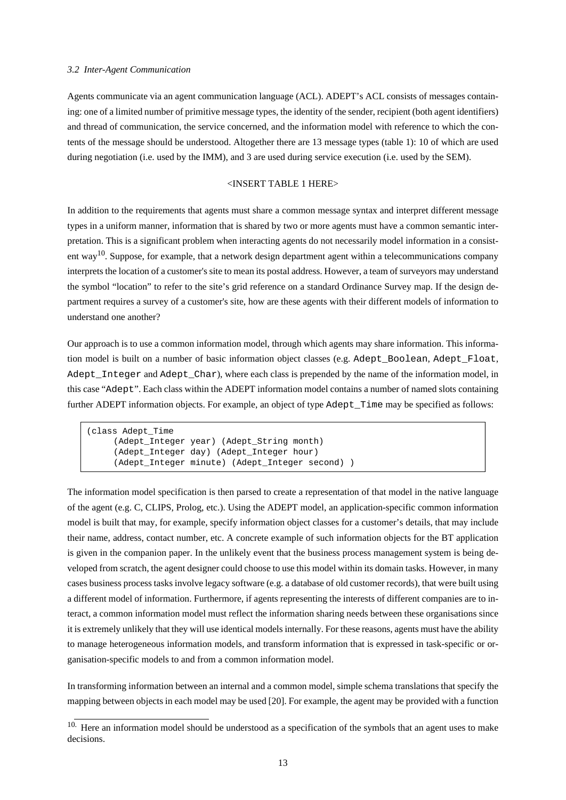#### *3.2 Inter-Agent Communication*

Agents communicate via an agent communication language (ACL). ADEPT's ACL consists of messages containing: one of a limited number of primitive message types, the identity of the sender, recipient (both agentidentifiers) and thread of communication, the service concerned, and the information model with reference to which the contents of the message should be understood. Altogether there are 13 message types (table 1): 10 of which are used during negotiation (i.e. used by the IMM), and 3 are used during service execution (i.e. used by the SEM).

#### <INSERT TABLE 1 HERE>

In addition to the requirements that agents must share a common message syntax and interpret different message types in a uniform manner, information that is shared by two or more agents must have a common semantic interpretation. This is a significant problem when interacting agents do not necessarily model information in a consistent way<sup>10</sup>. Suppose, for example, that a network design department agent within a telecommunications company interprets the location of a customer's site to mean its postal address. However, a team of surveyors may understand the symbol "location" to refer to the site's grid reference on a standard Ordinance Survey map. If the design department requires a survey of a customer's site, how are these agents with their different models of information to understand one another?

Our approach is to use a common information model, through which agents may share information. This information model is built on a number of basic information object classes (e.g. Adept\_Boolean, Adept\_Float, Adept\_Integer and Adept\_Char), where each class is prepended by the name of the information model, in this case "Adept". Each class within the ADEPT information model contains a number of named slots containing further ADEPT information objects. For example, an object of type Adept\_Time may be specified as follows:

```
(class Adept_Time
     (Adept_Integer year) (Adept_String month)
     (Adept_Integer day) (Adept_Integer hour)
     (Adept_Integer minute) (Adept_Integer second) )
```
The information model specification is then parsed to create a representation of that model in the native language of the agent (e.g. C, CLIPS, Prolog, etc.). Using the ADEPT model, an application-specific common information model is built that may, for example, specify information object classes for a customer's details, that may include their name, address, contact number, etc. A concrete example of such information objects for the BT application is given in the companion paper. In the unlikely event that the business process management system is being developed from scratch, the agent designer could choose to use this model within its domain tasks. However, in many cases business process tasks involve legacy software (e.g. a database of old customer records), that were built using a different model of information. Furthermore, if agents representing the interests of different companies are to interact, a common information model must reflect the information sharing needs between these organisations since it is extremely unlikely that they will use identical models internally. For these reasons, agents must have the ability to manage heterogeneous information models, and transform information that is expressed in task-specific or organisation-specific models to and from a common information model.

In transforming information between an internal and a common model, simple schema translations that specify the mapping between objects in each model may be used [20]. For example, the agent may be provided with a function

<sup>&</sup>lt;sup>10.</sup> Here an information model should be understood as a specification of the symbols that an agent uses to make decisions.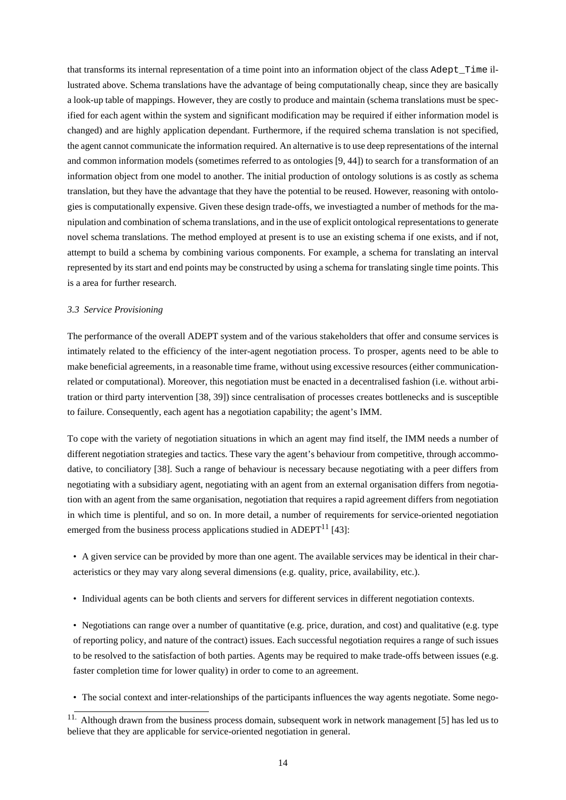that transforms its internal representation of a time point into an information object of the class Adept\_Time illustrated above. Schema translations have the advantage of being computationally cheap, since they are basically a look-up table of mappings. However, they are costly to produce and maintain (schema translations must be specified for each agent within the system and significant modification may be required if either information model is changed) and are highly application dependant. Furthermore, if the required schema translation is not specified, the agent cannot communicate the information required. An alternative isto use deep representations of the internal and common information models (sometimes referred to as ontologies [9, 44]) to search for a transformation of an information object from one model to another. The initial production of ontology solutions is as costly as schema translation, but they have the advantage that they have the potential to be reused. However, reasoning with ontologies is computationally expensive. Given these design trade-offs, we investiagted a number of methods for the manipulation and combination ofschema translations, and in the use of explicit ontological representationsto generate novel schema translations. The method employed at present is to use an existing schema if one exists, and if not, attempt to build a schema by combining various components. For example, a schema for translating an interval represented by its start and end points may be constructed by using a schema for translating single time points. This is a area for further research.

## *3.3 Service Provisioning*

The performance of the overall ADEPT system and of the various stakeholders that offer and consume services is intimately related to the efficiency of the inter-agent negotiation process. To prosper, agents need to be able to make beneficial agreements, in a reasonable time frame, without using excessive resources (either communicationrelated or computational). Moreover, this negotiation must be enacted in a decentralised fashion (i.e. without arbitration or third party intervention [38, 39]) since centralisation of processes creates bottlenecks and is susceptible to failure. Consequently, each agent has a negotiation capability; the agent's IMM.

To cope with the variety of negotiation situations in which an agent may find itself, the IMM needs a number of different negotiation strategies and tactics. These vary the agent's behaviour from competitive, through accommodative, to conciliatory [38]. Such a range of behaviour is necessary because negotiating with a peer differs from negotiating with a subsidiary agent, negotiating with an agent from an external organisation differs from negotiation with an agent from the same organisation, negotiation that requires a rapid agreement differs from negotiation in which time is plentiful, and so on. In more detail, a number of requirements for service-oriented negotiation emerged from the business process applications studied in ADEPT $^{11}$  [43]:

• A given service can be provided by more than one agent. The available services may be identical in their characteristics or they may vary along several dimensions (e.g. quality, price, availability, etc.).

• Individual agents can be both clients and servers for different services in different negotiation contexts.

• Negotiations can range over a number of quantitative (e.g. price, duration, and cost) and qualitative (e.g. type of reporting policy, and nature of the contract) issues. Each successful negotiation requires a range of such issues to be resolved to the satisfaction of both parties. Agents may be required to make trade-offs between issues (e.g. faster completion time for lower quality) in order to come to an agreement.

• The social context and inter-relationships of the participants influences the way agents negotiate. Some nego-

<sup>&</sup>lt;sup>11.</sup> Although drawn from the business process domain, subsequent work in network management [5] has led us to believe that they are applicable for service-oriented negotiation in general.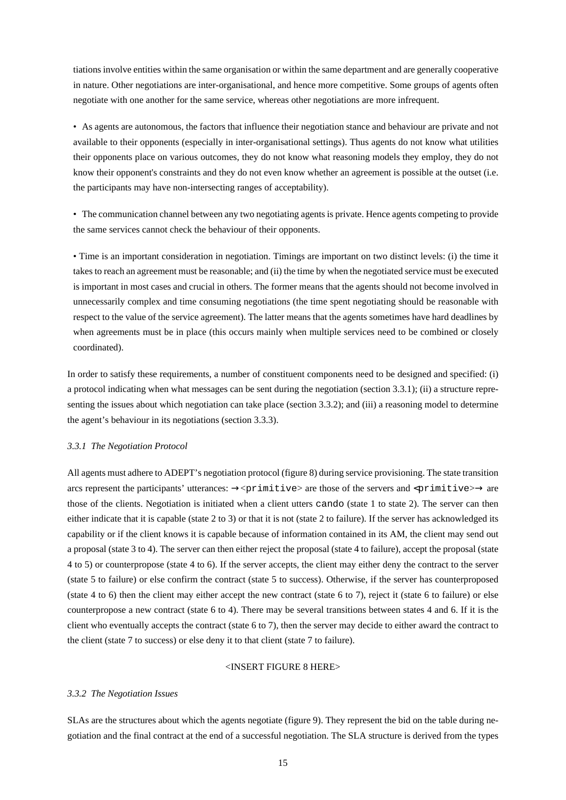tiationsinvolve entities within the same organisation or within the same department and are generally cooperative in nature. Other negotiations are inter-organisational, and hence more competitive. Some groups of agents often negotiate with one another for the same service, whereas other negotiations are more infrequent.

• As agents are autonomous, the factors that influence their negotiation stance and behaviour are private and not available to their opponents (especially in inter-organisational settings). Thus agents do not know what utilities their opponents place on various outcomes, they do not know what reasoning models they employ, they do not know their opponent's constraints and they do not even know whether an agreement is possible at the outset (i.e. the participants may have non-intersecting ranges of acceptability).

• The communication channel between any two negotiating agents is private. Hence agents competing to provide the same services cannot check the behaviour of their opponents.

• Time is an important consideration in negotiation. Timings are important on two distinct levels: (i) the time it takesto reach an agreement must be reasonable; and (ii) the time by when the negotiated service must be executed is important in most cases and crucial in others. The former means that the agents should not become involved in unnecessarily complex and time consuming negotiations (the time spent negotiating should be reasonable with respect to the value of the service agreement). The latter means that the agents sometimes have hard deadlines by when agreements must be in place (this occurs mainly when multiple services need to be combined or closely coordinated).

In order to satisfy these requirements, a number of constituent components need to be designed and specified: (i) a protocol indicating when what messages can be sent during the negotiation (section 3.3.1); (ii) a structure representing the issues about which negotiation can take place (section 3.3.2); and (iii) a reasoning model to determine the agent's behaviour in its negotiations (section 3.3.3).

#### *3.3.1 The Negotiation Protocol*

All agents must adhere to ADEPT's negotiation protocol (figure 8) during service provisioning. The state transition arcs represent the participants' utterances:  $\rightarrow$   $\sim$ primitive $\ge$  are those of the servers and  $\sim$ primitive $\ge$  $\rightarrow$  are those of the clients. Negotiation is initiated when a client utters cando (state 1 to state 2). The server can then either indicate that it is capable (state 2 to 3) or that it is not (state 2 to failure). If the server has acknowledged its capability or if the client knows it is capable because of information contained in its AM, the client may send out a proposal (state 3 to 4). The server can then either reject the proposal (state 4 to failure), accept the proposal (state 4 to 5) or counterpropose (state 4 to 6). If the server accepts, the client may either deny the contract to the server (state 5 to failure) or else confirm the contract (state 5 to success). Otherwise, if the server has counterproposed (state 4 to 6) then the client may either accept the new contract (state 6 to 7), reject it (state 6 to failure) or else counterpropose a new contract (state 6 to 4). There may be several transitions between states 4 and 6. If it is the client who eventually accepts the contract (state 6 to 7), then the server may decide to either award the contract to the client (state 7 to success) or else deny it to that client (state 7 to failure).

## <INSERT FIGURE 8 HERE>

# *3.3.2 The Negotiation Issues*

SLAs are the structures about which the agents negotiate (figure 9). They represent the bid on the table during negotiation and the final contract at the end of a successful negotiation. The SLA structure is derived from the types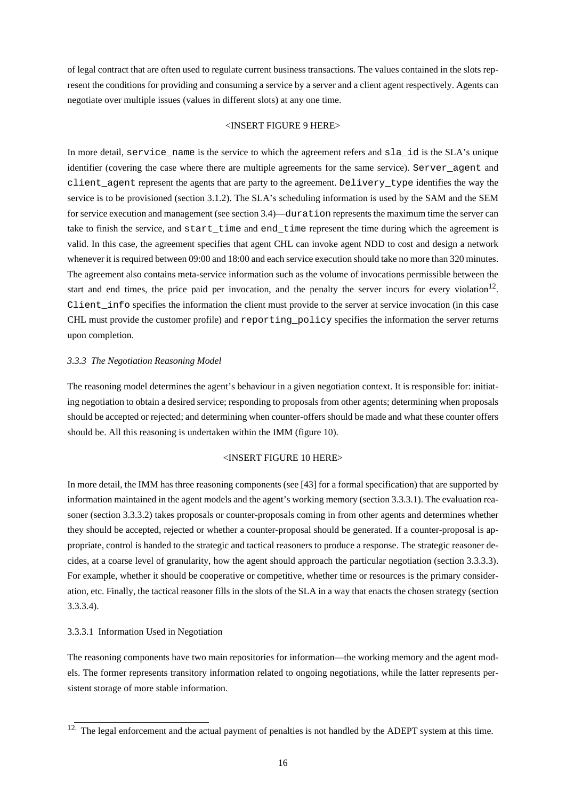of legal contract that are often used to regulate current business transactions. The values contained in the slots represent the conditions for providing and consuming a service by a server and a client agent respectively. Agents can negotiate over multiple issues (values in different slots) at any one time.

#### <INSERT FIGURE 9 HERE>

In more detail, service name is the service to which the agreement refers and sla\_id is the SLA's unique identifier (covering the case where there are multiple agreements for the same service). Server\_agent and client\_agent represent the agents that are party to the agreement. Delivery\_type identifies the way the service is to be provisioned (section 3.1.2). The SLA's scheduling information is used by the SAM and the SEM for service execution and management (see section 3.4)—duration represents the maximum time the server can take to finish the service, and start\_time and end\_time represent the time during which the agreement is valid. In this case, the agreement specifies that agent CHL can invoke agent NDD to cost and design a network whenever it is required between 09:00 and 18:00 and each service execution should take no more than 320 minutes. The agreement also contains meta-service information such as the volume of invocations permissible between the start and end times, the price paid per invocation, and the penalty the server incurs for every violation<sup>12</sup>. Client info specifies the information the client must provide to the server at service invocation (in this case CHL must provide the customer profile) and reporting\_policy specifies the information the server returns upon completion.

#### *3.3.3 The Negotiation Reasoning Model*

The reasoning model determines the agent's behaviour in a given negotiation context. It is responsible for: initiating negotiation to obtain a desired service; responding to proposals from other agents; determining when proposals should be accepted or rejected; and determining when counter-offers should be made and what these counter offers should be. All this reasoning is undertaken within the IMM (figure 10).

#### <INSERT FIGURE 10 HERE>

In more detail, the IMM has three reasoning components (see [43] for a formal specification) that are supported by information maintained in the agent models and the agent's working memory (section 3.3.3.1). The evaluation reasoner (section 3.3.3.2) takes proposals or counter-proposals coming in from other agents and determines whether they should be accepted, rejected or whether a counter-proposal should be generated. If a counter-proposal is appropriate, control is handed to the strategic and tactical reasoners to produce a response. The strategic reasoner decides, at a coarse level of granularity, how the agent should approach the particular negotiation (section 3.3.3.3). For example, whether it should be cooperative or competitive, whether time or resources is the primary consideration, etc. Finally, the tactical reasoner fills in the slots of the SLA in a way that enacts the chosen strategy (section 3.3.3.4).

# 3.3.3.1 Information Used in Negotiation

The reasoning components have two main repositories for information—the working memory and the agent models. The former represents transitory information related to ongoing negotiations, while the latter represents persistent storage of more stable information.

<sup>&</sup>lt;sup>12.</sup> The legal enforcement and the actual payment of penalties is not handled by the ADEPT system at this time.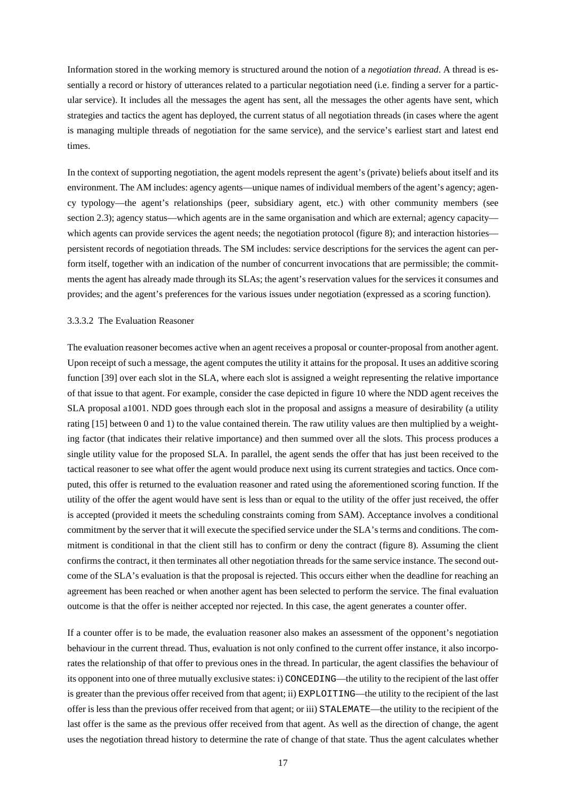Information stored in the working memory is structured around the notion of a *negotiation thread*. A thread is essentially a record or history of utterances related to a particular negotiation need (i.e. finding a server for a particular service). It includes all the messages the agent has sent, all the messages the other agents have sent, which strategies and tactics the agent has deployed, the current status of all negotiation threads (in cases where the agent is managing multiple threads of negotiation for the same service), and the service's earliest start and latest end times.

In the context of supporting negotiation, the agent models represent the agent's (private) beliefs about itself and its environment. The AM includes: agency agents—unique names of individual members of the agent's agency; agency typology—the agent's relationships (peer, subsidiary agent, etc.) with other community members (see section 2.3); agency status—which agents are in the same organisation and which are external; agency capacity which agents can provide services the agent needs; the negotiation protocol (figure 8); and interaction histories persistent records of negotiation threads. The SM includes: service descriptions for the services the agent can perform itself, together with an indication of the number of concurrent invocations that are permissible; the commitments the agent has already made through its SLAs; the agent's reservation values for the services it consumes and provides; and the agent's preferences for the various issues under negotiation (expressed as a scoring function).

#### 3.3.3.2 The Evaluation Reasoner

The evaluation reasoner becomes active when an agent receives a proposal or counter-proposal from another agent. Upon receipt of such a message, the agent computes the utility it attains for the proposal. It uses an additive scoring function [39] over each slot in the SLA, where each slot is assigned a weight representing the relative importance of that issue to that agent. For example, consider the case depicted in figure 10 where the NDD agent receives the SLA proposal a1001. NDD goes through each slot in the proposal and assigns a measure of desirability (a utility rating [15] between 0 and 1) to the value contained therein. The raw utility values are then multiplied by a weighting factor (that indicates their relative importance) and then summed over all the slots. This process produces a single utility value for the proposed SLA. In parallel, the agent sends the offer that has just been received to the tactical reasoner to see what offer the agent would produce next using its current strategies and tactics. Once computed, this offer is returned to the evaluation reasoner and rated using the aforementioned scoring function. If the utility of the offer the agent would have sent is less than or equal to the utility of the offer just received, the offer is accepted (provided it meets the scheduling constraints coming from SAM). Acceptance involves a conditional commitment by the server that it will execute the specified service under the SLA's terms and conditions. The commitment is conditional in that the client still has to confirm or deny the contract (figure 8). Assuming the client confirms the contract, it then terminates all other negotiation threads for the same service instance. The second outcome of the SLA's evaluation is that the proposal is rejected. This occurs either when the deadline for reaching an agreement has been reached or when another agent has been selected to perform the service. The final evaluation outcome is that the offer is neither accepted nor rejected. In this case, the agent generates a counter offer.

If a counter offer is to be made, the evaluation reasoner also makes an assessment of the opponent's negotiation behaviour in the current thread. Thus, evaluation is not only confined to the current offer instance, it also incorporates the relationship of that offer to previous ones in the thread. In particular, the agent classifies the behaviour of its opponentinto one of three mutually exclusive states:i) CONCEDING—the utility to the recipient of the last offer is greater than the previous offer received from that agent; ii) EXPLOITING—the utility to the recipient of the last offer is less than the previous offer received from that agent; or iii) STALEMATE—the utility to the recipient of the last offer is the same as the previous offer received from that agent. As well as the direction of change, the agent uses the negotiation thread history to determine the rate of change of that state. Thus the agent calculates whether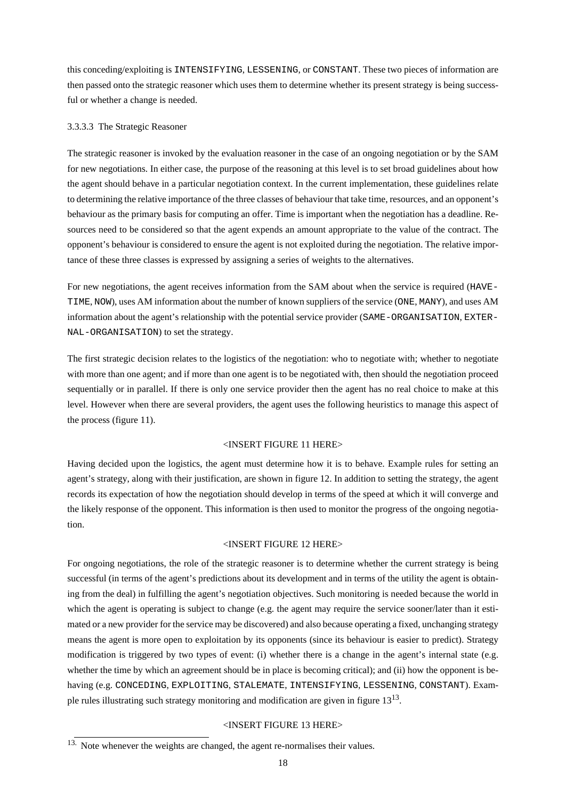this conceding/exploiting is INTENSIFYING, LESSENING, or CONSTANT. These two pieces of information are then passed onto the strategic reasoner which uses them to determine whether its present strategy is being successful or whether a change is needed.

# 3.3.3.3 The Strategic Reasoner

The strategic reasoner is invoked by the evaluation reasoner in the case of an ongoing negotiation or by the SAM for new negotiations. In either case, the purpose of the reasoning at this level is to set broad guidelines about how the agent should behave in a particular negotiation context. In the current implementation, these guidelines relate to determining the relative importance of the three classes of behaviour that take time, resources, and an opponent's behaviour as the primary basis for computing an offer. Time is important when the negotiation has a deadline. Resources need to be considered so that the agent expends an amount appropriate to the value of the contract. The opponent's behaviour is considered to ensure the agent is not exploited during the negotiation. The relative importance of these three classes is expressed by assigning a series of weights to the alternatives.

For new negotiations, the agent receives information from the SAM about when the service is required (HAVE-TIME, NOW), uses AM information about the number of known suppliers of the service (ONE, MANY), and uses AM information about the agent's relationship with the potential service provider (SAME-ORGANISATION, EXTER-NAL-ORGANISATION) to set the strategy.

The first strategic decision relates to the logistics of the negotiation: who to negotiate with; whether to negotiate with more than one agent; and if more than one agent is to be negotiated with, then should the negotiation proceed sequentially or in parallel. If there is only one service provider then the agent has no real choice to make at this level. However when there are several providers, the agent uses the following heuristics to manage this aspect of the process (figure 11).

# <INSERT FIGURE 11 HERE>

Having decided upon the logistics, the agent must determine how it is to behave. Example rules for setting an agent's strategy, along with their justification, are shown in figure 12. In addition to setting the strategy, the agent records its expectation of how the negotiation should develop in terms of the speed at which it will converge and the likely response of the opponent. This information is then used to monitor the progress of the ongoing negotiation.

# <INSERT FIGURE 12 HERE>

For ongoing negotiations, the role of the strategic reasoner is to determine whether the current strategy is being successful (in terms of the agent's predictions about its development and in terms of the utility the agent is obtaining from the deal) in fulfilling the agent's negotiation objectives. Such monitoring is needed because the world in which the agent is operating is subject to change (e.g. the agent may require the service sooner/later than it estimated or a new provider for the service may be discovered) and also because operating a fixed, unchanging strategy means the agent is more open to exploitation by its opponents (since its behaviour is easier to predict). Strategy modification is triggered by two types of event: (i) whether there is a change in the agent's internal state (e.g. whether the time by which an agreement should be in place is becoming critical); and (ii) how the opponent is behaving (e.g. CONCEDING, EXPLOITING, STALEMATE, INTENSIFYING, LESSENING, CONSTANT). Example rules illustrating such strategy monitoring and modification are given in figure  $13^{13}$ .

# <INSERT FIGURE 13 HERE>

<sup>&</sup>lt;sup>13.</sup> Note whenever the weights are changed, the agent re-normalises their values.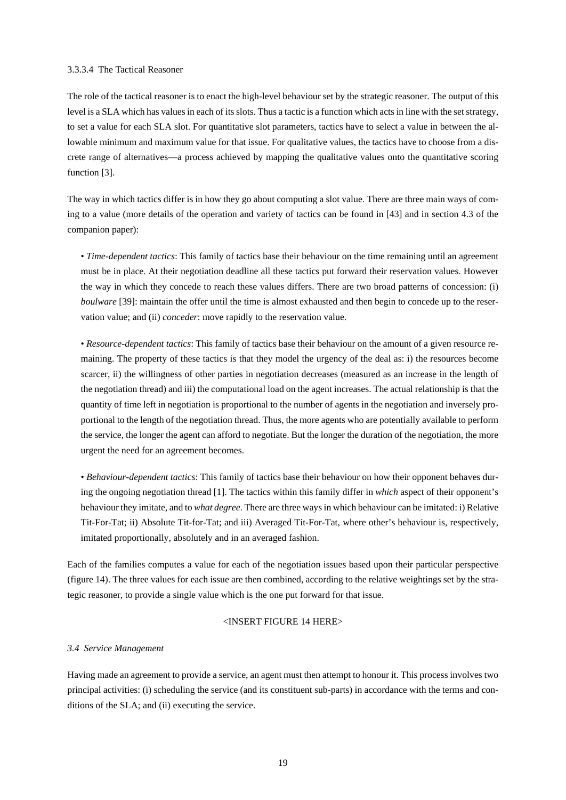# 3.3.3.4 The Tactical Reasoner

The role of the tactical reasoner is to enact the high-level behaviour set by the strategic reasoner. The output of this level is a SLA which has values in each of its slots. Thus a tactic is a function which acts in line with the set strategy, to set a value for each SLA slot. For quantitative slot parameters, tactics have to select a value in between the allowable minimum and maximum value for that issue. For qualitative values, the tactics have to choose from a discrete range of alternatives—a process achieved by mapping the qualitative values onto the quantitative scoring function [3].

The way in which tactics differ is in how they go about computing a slot value. There are three main ways of coming to a value (more details of the operation and variety of tactics can be found in [43] and in section 4.3 of the companion paper):

• *Time-dependent tactics*: This family of tactics base their behaviour on the time remaining until an agreement must be in place. At their negotiation deadline all these tactics put forward their reservation values. However the way in which they concede to reach these values differs. There are two broad patterns of concession: (i) *boulware* [39]: maintain the offer until the time is almost exhausted and then begin to concede up to the reservation value; and (ii) *conceder*: move rapidly to the reservation value.

• *Resource-dependent tactics*: This family of tactics base their behaviour on the amount of a given resource remaining. The property of these tactics is that they model the urgency of the deal as: i) the resources become scarcer, ii) the willingness of other parties in negotiation decreases (measured as an increase in the length of the negotiation thread) and iii) the computational load on the agent increases. The actual relationship is that the quantity of time left in negotiation is proportional to the number of agents in the negotiation and inversely proportional to the length of the negotiation thread. Thus, the more agents who are potentially available to perform the service, the longer the agent can afford to negotiate. But the longer the duration of the negotiation, the more urgent the need for an agreement becomes.

• *Behaviour-dependent tactics*: This family of tactics base their behaviour on how their opponent behaves during the ongoing negotiation thread [1]. The tactics within this family differ in *which* aspect of their opponent's behaviour they imitate, and to *what degree*. There are three waysin which behaviour can be imitated:i) Relative Tit-For-Tat; ii) Absolute Tit-for-Tat; and iii) Averaged Tit-For-Tat, where other's behaviour is, respectively, imitated proportionally, absolutely and in an averaged fashion.

Each of the families computes a value for each of the negotiation issues based upon their particular perspective (figure 14). The three values for each issue are then combined, according to the relative weightings set by the strategic reasoner, to provide a single value which is the one put forward for that issue.

#### <INSERT FIGURE 14 HERE>

#### *3.4 Service Management*

Having made an agreementto provide a service, an agent mustthen attemptto honour it. This process involves two principal activities: (i) scheduling the service (and its constituent sub-parts) in accordance with the terms and conditions of the SLA; and (ii) executing the service.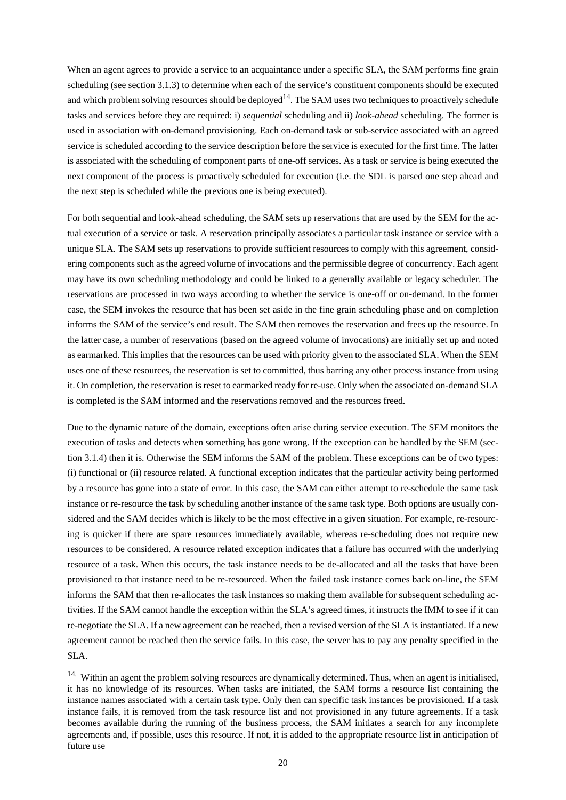When an agent agrees to provide a service to an acquaintance under a specific SLA, the SAM performs fine grain scheduling (see section 3.1.3) to determine when each of the service's constituent components should be executed and which problem solving resources should be deployed<sup>14</sup>. The SAM uses two techniques to proactively schedule tasks and services before they are required: i) *sequential* scheduling and ii) *look-ahead* scheduling. The former is used in association with on-demand provisioning. Each on-demand task or sub-service associated with an agreed service is scheduled according to the service description before the service is executed for the first time. The latter is associated with the scheduling of component parts of one-off services. As a task or service is being executed the next component of the process is proactively scheduled for execution (i.e. the SDL is parsed one step ahead and the next step is scheduled while the previous one is being executed).

For both sequential and look-ahead scheduling, the SAM sets up reservations that are used by the SEM for the actual execution of a service or task. A reservation principally associates a particular task instance or service with a unique SLA. The SAM sets up reservations to provide sufficient resources to comply with this agreement, considering components such as the agreed volume of invocations and the permissible degree of concurrency. Each agent may have its own scheduling methodology and could be linked to a generally available or legacy scheduler. The reservations are processed in two ways according to whether the service is one-off or on-demand. In the former case, the SEM invokes the resource that has been set aside in the fine grain scheduling phase and on completion informs the SAM of the service's end result. The SAM then removes the reservation and frees up the resource. In the latter case, a number of reservations (based on the agreed volume of invocations) are initially set up and noted as earmarked. This implies that the resources can be used with priority given to the associated SLA. When the SEM uses one of these resources, the reservation is set to committed, thus barring any other process instance from using it. On completion, the reservation is reset to earmarked ready for re-use. Only when the associated on-demand SLA is completed is the SAM informed and the reservations removed and the resources freed.

Due to the dynamic nature of the domain, exceptions often arise during service execution. The SEM monitors the execution of tasks and detects when something has gone wrong. If the exception can be handled by the SEM (section 3.1.4) then it is. Otherwise the SEM informs the SAM of the problem. These exceptions can be of two types: (i) functional or (ii) resource related. A functional exception indicates that the particular activity being performed by a resource has gone into a state of error. In this case, the SAM can either attempt to re-schedule the same task instance or re-resource the task by scheduling another instance of the same task type. Both options are usually considered and the SAM decides which is likely to be the most effective in a given situation. For example, re-resourcing is quicker if there are spare resources immediately available, whereas re-scheduling does not require new resources to be considered. A resource related exception indicates that a failure has occurred with the underlying resource of a task. When this occurs, the task instance needs to be de-allocated and all the tasks that have been provisioned to that instance need to be re-resourced. When the failed task instance comes back on-line, the SEM informs the SAM that then re-allocates the task instances so making them available for subsequent scheduling activities. If the SAM cannot handle the exception within the SLA's agreed times, it instructs the IMM to see if it can re-negotiate the SLA. If a new agreement can be reached, then a revised version of the SLA is instantiated. If a new agreement cannot be reached then the service fails. In this case, the server has to pay any penalty specified in the SLA.

<sup>&</sup>lt;sup>14.</sup> Within an agent the problem solving resources are dynamically determined. Thus, when an agent is initialised, it has no knowledge of its resources. When tasks are initiated, the SAM forms a resource list containing the instance names associated with a certain task type. Only then can specific task instances be provisioned. If a task instance fails, it is removed from the task resource list and not provisioned in any future agreements. If a task becomes available during the running of the business process, the SAM initiates a search for any incomplete agreements and, if possible, uses this resource. If not, it is added to the appropriate resource list in anticipation of future use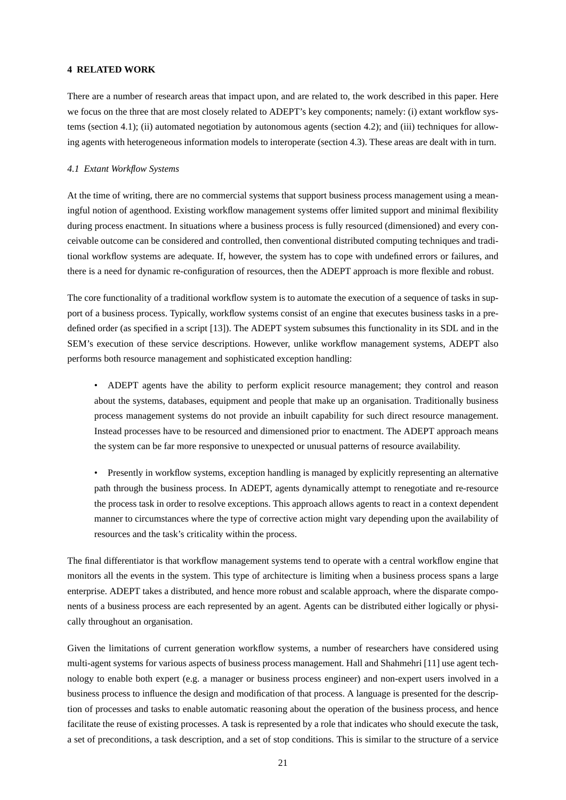# **4 RELATED WORK**

There are a number of research areas that impact upon, and are related to, the work described in this paper. Here we focus on the three that are most closely related to ADEPT's key components; namely: (i) extant workflow systems (section 4.1); (ii) automated negotiation by autonomous agents (section 4.2); and (iii) techniques for allowing agents with heterogeneous information models to interoperate (section 4.3). These areas are dealt with in turn.

# *4.1 Extant Workflow Systems*

At the time of writing, there are no commercial systems that support business process management using a meaningful notion of agenthood. Existing workflow management systems offer limited support and minimal flexibility during process enactment. In situations where a business process is fully resourced (dimensioned) and every conceivable outcome can be considered and controlled, then conventional distributed computing techniques and traditional workflow systems are adequate. If, however, the system has to cope with undefined errors or failures, and there is a need for dynamic re-configuration of resources, then the ADEPT approach is more flexible and robust.

The core functionality of a traditional workflow system is to automate the execution of a sequence of tasks in support of a business process. Typically, workflow systems consist of an engine that executes business tasks in a predefined order (as specified in a script [13]). The ADEPT system subsumes this functionality in its SDL and in the SEM's execution of these service descriptions. However, unlike workflow management systems, ADEPT also performs both resource management and sophisticated exception handling:

• ADEPT agents have the ability to perform explicit resource management; they control and reason about the systems, databases, equipment and people that make up an organisation. Traditionally business process management systems do not provide an inbuilt capability for such direct resource management. Instead processes have to be resourced and dimensioned prior to enactment. The ADEPT approach means the system can be far more responsive to unexpected or unusual patterns of resource availability.

• Presently in workflow systems, exception handling is managed by explicitly representing an alternative path through the business process. In ADEPT, agents dynamically attempt to renegotiate and re-resource the process task in order to resolve exceptions. This approach allows agents to react in a context dependent manner to circumstances where the type of corrective action might vary depending upon the availability of resources and the task's criticality within the process.

The final differentiator is that workflow management systems tend to operate with a central workflow engine that monitors all the events in the system. This type of architecture is limiting when a business process spans a large enterprise. ADEPT takes a distributed, and hence more robust and scalable approach, where the disparate components of a business process are each represented by an agent. Agents can be distributed either logically or physically throughout an organisation.

Given the limitations of current generation workflow systems, a number of researchers have considered using multi-agent systems for various aspects of business process management. Hall and Shahmehri [11] use agent technology to enable both expert (e.g. a manager or business process engineer) and non-expert users involved in a business process to influence the design and modification of that process. A language is presented for the description of processes and tasks to enable automatic reasoning about the operation of the business process, and hence facilitate the reuse of existing processes. A task is represented by a role that indicates who should execute the task, a set of preconditions, a task description, and a set of stop conditions. This is similar to the structure of a service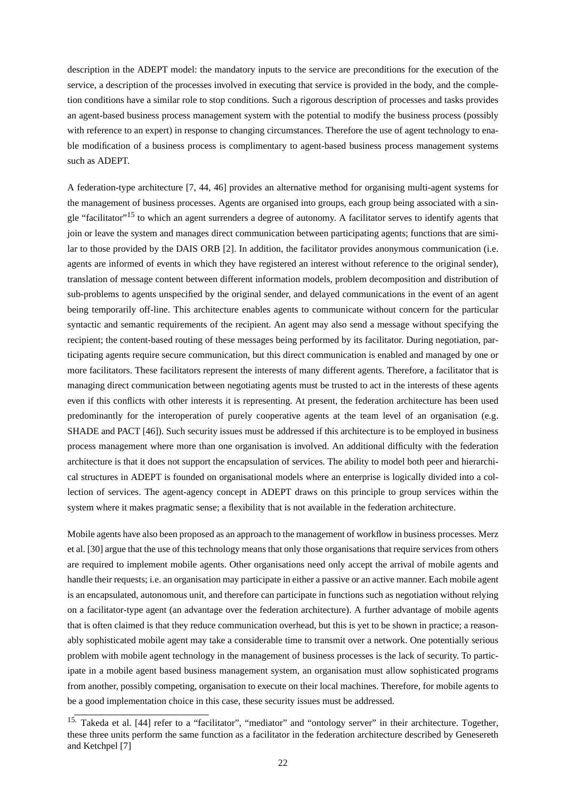description in the ADEPT model: the mandatory inputs to the service are preconditions for the execution of the service, a description of the processes involved in executing that service is provided in the body, and the completion conditions have a similar role to stop conditions. Such a rigorous description of processes and tasks provides an agent-based business process management system with the potential to modify the business process (possibly with reference to an expert) in response to changing circumstances. Therefore the use of agent technology to enable modification of a business process is complimentary to agent-based business process management systems such as ADEPT.

A federation-type architecture [7, 44, 46] provides an alternative method for organising multi-agent systems for the management of business processes. Agents are organised into groups, each group being associated with a single "facilitator"<sup>15</sup> to which an agent surrenders a degree of autonomy. A facilitator serves to identify agents that join or leave the system and manages direct communication between participating agents; functions that are similar to those provided by the DAIS ORB [2]. In addition, the facilitator provides anonymous communication (i.e. agents are informed of events in which they have registered an interest without reference to the original sender), translation of message content between different information models, problem decomposition and distribution of sub-problems to agents unspecified by the original sender, and delayed communications in the event of an agent being temporarily off-line. This architecture enables agents to communicate without concern for the particular syntactic and semantic requirements of the recipient. An agent may also send a message without specifying the recipient; the content-based routing of these messages being performed by its facilitator. During negotiation, participating agents require secure communication, but this direct communication is enabled and managed by one or more facilitators. These facilitators represent the interests of many different agents. Therefore, a facilitator that is managing direct communication between negotiating agents must be trusted to act in the interests of these agents even if this conflicts with other interests it is representing. At present, the federation architecture has been used predominantly for the interoperation of purely cooperative agents at the team level of an organisation (e.g. SHADE and PACT [46]). Such security issues must be addressed if this architecture is to be employed in business process management where more than one organisation is involved. An additional difficulty with the federation architecture is that it does not support the encapsulation of services. The ability to model both peer and hierarchical structures in ADEPT is founded on organisational models where an enterprise is logically divided into a collection of services. The agent-agency concept in ADEPT draws on this principle to group services within the system where it makes pragmatic sense; a flexibility that is not available in the federation architecture.

Mobile agents have also been proposed as an approach to the management of workflow in business processes. Merz et al. [30] argue thatthe use of this technology means that only those organisations that require services from others are required to implement mobile agents. Other organisations need only accept the arrival of mobile agents and handle their requests; i.e. an organisation may participate in either a passive or an active manner. Each mobile agent is an encapsulated, autonomous unit, and therefore can participate in functions such as negotiation without relying on a facilitator-type agent (an advantage over the federation architecture). A further advantage of mobile agents that is often claimed is that they reduce communication overhead, but this is yet to be shown in practice; a reasonably sophisticated mobile agent may take a considerable time to transmit over a network. One potentially serious problem with mobile agent technology in the management of business processes is the lack of security. To participate in a mobile agent based business management system, an organisation must allow sophisticated programs from another, possibly competing, organisation to execute on their local machines. Therefore, for mobile agents to be a good implementation choice in this case, these security issues must be addressed.

<sup>&</sup>lt;sup>15.</sup> Takeda et al. [44] refer to a "facilitator", "mediator" and "ontology server" in their architecture. Together, these three units perform the same function as a facilitator in the federation architecture described by Genesereth and Ketchpel [7]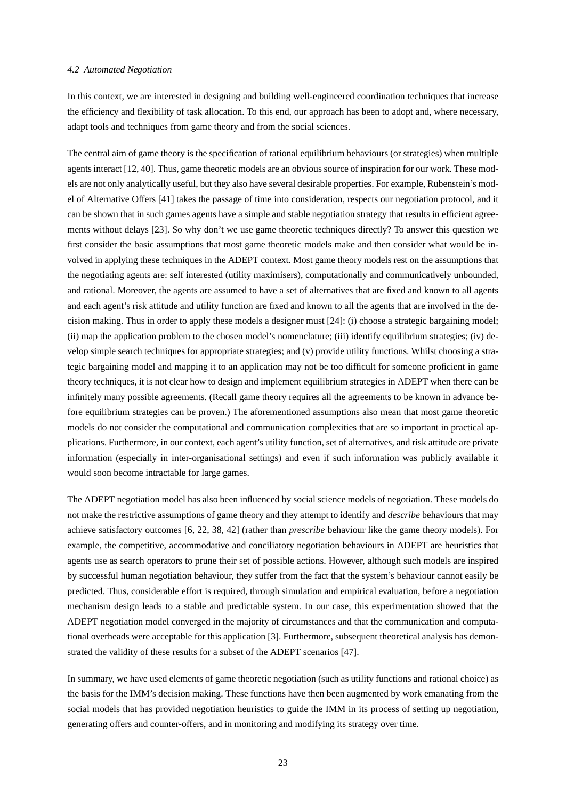#### *4.2 Automated Negotiation*

In this context, we are interested in designing and building well-engineered coordination techniques that increase the efficiency and flexibility of task allocation. To this end, our approach has been to adopt and, where necessary, adapt tools and techniques from game theory and from the social sciences.

The central aim of game theory is the specification of rational equilibrium behaviours (or strategies) when multiple agentsinteract [12, 40]. Thus, game theoretic models are an obvious source of inspiration for our work. These models are not only analytically useful, but they also have several desirable properties. For example, Rubenstein's model of Alternative Offers [41] takes the passage of time into consideration, respects our negotiation protocol, and it can be shown that in such games agents have a simple and stable negotiation strategy that results in efficient agreements without delays [23]. So why don't we use game theoretic techniques directly? To answer this question we first consider the basic assumptions that most game theoretic models make and then consider what would be involved in applying these techniques in the ADEPT context. Most game theory models rest on the assumptions that the negotiating agents are: self interested (utility maximisers), computationally and communicatively unbounded, and rational. Moreover, the agents are assumed to have a set of alternatives that are fixed and known to all agents and each agent's risk attitude and utility function are fixed and known to all the agents that are involved in the decision making. Thus in order to apply these models a designer must [24]: (i) choose a strategic bargaining model; (ii) map the application problem to the chosen model's nomenclature; (iii) identify equilibrium strategies; (iv) develop simple search techniques for appropriate strategies; and (v) provide utility functions. Whilst choosing a strategic bargaining model and mapping it to an application may not be too difficult for someone proficient in game theory techniques, it is not clear how to design and implement equilibrium strategies in ADEPT when there can be infinitely many possible agreements. (Recall game theory requires all the agreements to be known in advance before equilibrium strategies can be proven.) The aforementioned assumptions also mean that most game theoretic models do not consider the computational and communication complexities that are so important in practical applications. Furthermore, in our context, each agent's utility function, set of alternatives, and risk attitude are private information (especially in inter-organisational settings) and even if such information was publicly available it would soon become intractable for large games.

The ADEPT negotiation model has also been influenced by social science models of negotiation. These models do not make the restrictive assumptions of game theory and they attempt to identify and *describe* behaviours that may achieve satisfactory outcomes [6, 22, 38, 42] (rather than *prescribe* behaviour like the game theory models). For example, the competitive, accommodative and conciliatory negotiation behaviours in ADEPT are heuristics that agents use as search operators to prune their set of possible actions. However, although such models are inspired by successful human negotiation behaviour, they suffer from the fact that the system's behaviour cannot easily be predicted. Thus, considerable effort is required, through simulation and empirical evaluation, before a negotiation mechanism design leads to a stable and predictable system. In our case, this experimentation showed that the ADEPT negotiation model converged in the majority of circumstances and that the communication and computational overheads were acceptable for this application [3]. Furthermore, subsequent theoretical analysis has demonstrated the validity of these results for a subset of the ADEPT scenarios [47].

In summary, we have used elements of game theoretic negotiation (such as utility functions and rational choice) as the basis for the IMM's decision making. These functions have then been augmented by work emanating from the social models that has provided negotiation heuristics to guide the IMM in its process of setting up negotiation, generating offers and counter-offers, and in monitoring and modifying its strategy over time.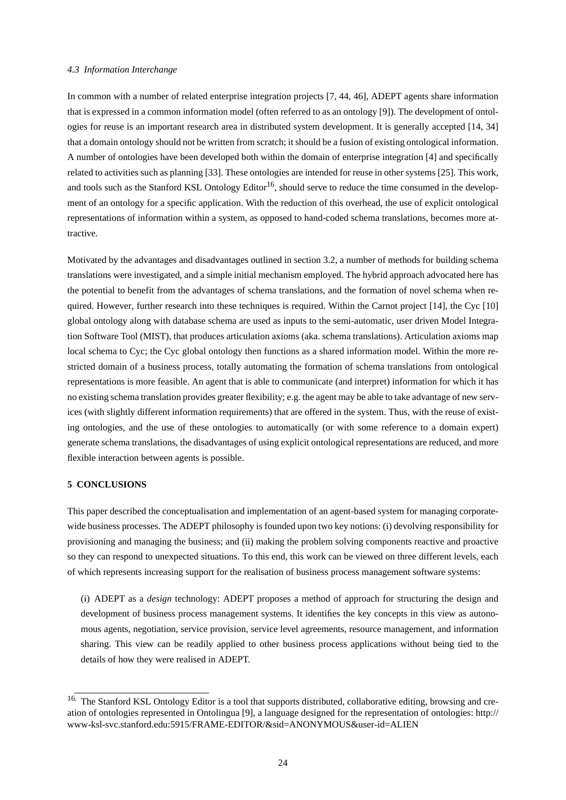#### *4.3 Information Interchange*

In common with a number of related enterprise integration projects [7, 44, 46], ADEPT agents share information that is expressed in a common information model (often referred to as an ontology [9]). The development of ontologies for reuse is an important research area in distributed system development. It is generally accepted [14, 34] that a domain ontology should not be written from scratch; it should be a fusion of existing ontological information. A number of ontologies have been developed both within the domain of enterprise integration [4] and specifically related to activities such as planning [33]. These ontologies are intended for reuse in other systems [25]. This work, and tools such as the Stanford KSL Ontology Editor<sup>16</sup>, should serve to reduce the time consumed in the development of an ontology for a specific application. With the reduction of this overhead, the use of explicit ontological representations of information within a system, as opposed to hand-coded schema translations, becomes more attractive.

Motivated by the advantages and disadvantages outlined in section 3.2, a number of methods for building schema translations were investigated, and a simple initial mechanism employed. The hybrid approach advocated here has the potential to benefit from the advantages of schema translations, and the formation of novel schema when required. However, further research into these techniques is required. Within the Carnot project [14], the Cyc [10] global ontology along with database schema are used as inputs to the semi-automatic, user driven Model Integration Software Tool (MIST), that produces articulation axioms (aka. schema translations). Articulation axioms map local schema to Cyc; the Cyc global ontology then functions as a shared information model. Within the more restricted domain of a business process, totally automating the formation of schema translations from ontological representations is more feasible. An agent that is able to communicate (and interpret) information for which it has no existing schema translation provides greater flexibility; e.g. the agent may be able to take advantage of new services (with slightly different information requirements) that are offered in the system. Thus, with the reuse of existing ontologies, and the use of these ontologies to automatically (or with some reference to a domain expert) generate schema translations, the disadvantages of using explicit ontological representations are reduced, and more flexible interaction between agents is possible.

#### **5 CONCLUSIONS**

This paper described the conceptualisation and implementation of an agent-based system for managing corporatewide business processes. The ADEPT philosophy is founded upon two key notions: (i) devolving responsibility for provisioning and managing the business; and (ii) making the problem solving components reactive and proactive so they can respond to unexpected situations. To this end, this work can be viewed on three different levels, each of which represents increasing support for the realisation of business process management software systems:

(i) ADEPT as a *design* technology: ADEPT proposes a method of approach for structuring the design and development of business process management systems. It identifies the key concepts in this view as autonomous agents, negotiation, service provision, service level agreements, resource management, and information sharing. This view can be readily applied to other business process applications without being tied to the details of how they were realised in ADEPT.

<sup>&</sup>lt;sup>16.</sup> The Stanford KSL Ontology Editor is a tool that supports distributed, collaborative editing, browsing and creation of ontologies represented in Ontolingua [9], a language designed for the representation of ontologies: http:// www-ksl-svc.stanford.edu:5915/FRAME-EDITOR/&sid=ANONYMOUS&user-id=ALIEN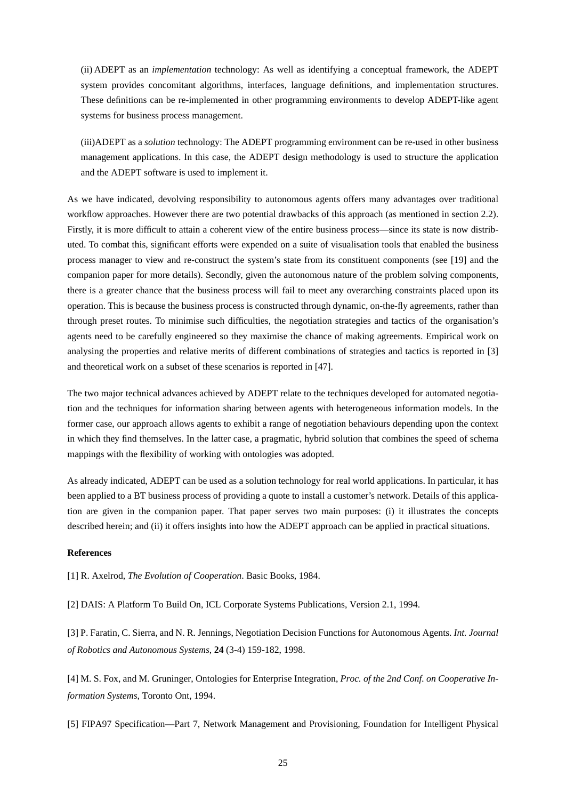(ii) ADEPT as an *implementation* technology: As well as identifying a conceptual framework, the ADEPT system provides concomitant algorithms, interfaces, language definitions, and implementation structures. These definitions can be re-implemented in other programming environments to develop ADEPT-like agent systems for business process management.

(iii)ADEPT as a *solution* technology: The ADEPT programming environment can be re-used in other business management applications. In this case, the ADEPT design methodology is used to structure the application and the ADEPT software is used to implement it.

As we have indicated, devolving responsibility to autonomous agents offers many advantages over traditional workflow approaches. However there are two potential drawbacks of this approach (as mentioned in section 2.2). Firstly, it is more difficult to attain a coherent view of the entire business process—since its state is now distributed. To combat this, significant efforts were expended on a suite of visualisation tools that enabled the business process manager to view and re-construct the system's state from its constituent components (see [19] and the companion paper for more details). Secondly, given the autonomous nature of the problem solving components, there is a greater chance that the business process will fail to meet any overarching constraints placed upon its operation. This is because the business process is constructed through dynamic, on-the-fly agreements, rather than through preset routes. To minimise such difficulties, the negotiation strategies and tactics of the organisation's agents need to be carefully engineered so they maximise the chance of making agreements. Empirical work on analysing the properties and relative merits of different combinations of strategies and tactics is reported in [3] and theoretical work on a subset of these scenarios is reported in [47].

The two major technical advances achieved by ADEPT relate to the techniques developed for automated negotiation and the techniques for information sharing between agents with heterogeneous information models. In the former case, our approach allows agents to exhibit a range of negotiation behaviours depending upon the context in which they find themselves. In the latter case, a pragmatic, hybrid solution that combines the speed of schema mappings with the flexibility of working with ontologies was adopted.

As already indicated, ADEPT can be used as a solution technology for real world applications. In particular, it has been applied to a BT business process of providing a quote to install a customer's network. Details of this application are given in the companion paper. That paper serves two main purposes: (i) it illustrates the concepts described herein; and (ii) it offers insights into how the ADEPT approach can be applied in practical situations.

#### **References**

[1] R. Axelrod, *The Evolution of Cooperation*. Basic Books, 1984.

[2] DAIS: A Platform To Build On, ICL Corporate Systems Publications, Version 2.1, 1994.

[3] P. Faratin, C. Sierra, and N. R. Jennings, Negotiation Decision Functions for Autonomous Agents. *Int. Journal of Robotics and Autonomous Systems*, **24** (3-4) 159-182, 1998.

[4] M. S. Fox, and M. Gruninger, Ontologies for Enterprise Integration, *Proc. of the 2nd Conf. on Cooperative Information Systems*, Toronto Ont, 1994.

[5] FIPA97 Specification—Part 7, Network Management and Provisioning, Foundation for Intelligent Physical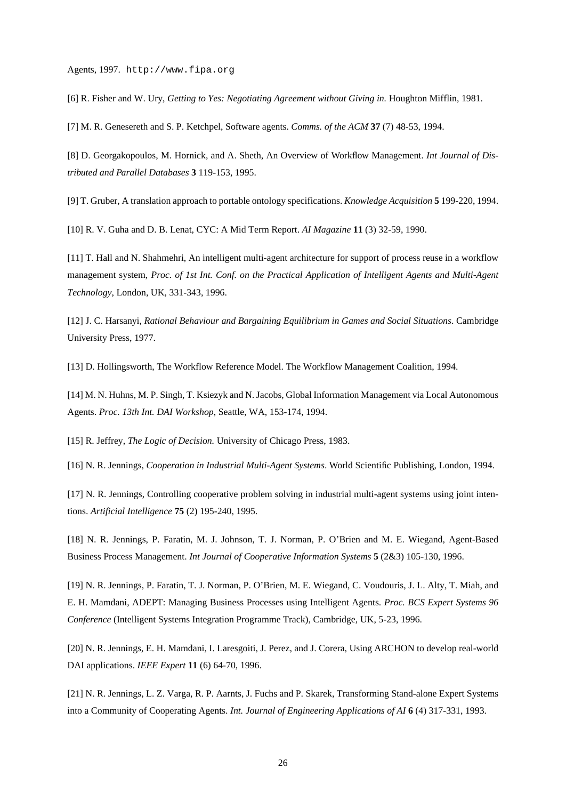Agents, 1997. http://www.fipa.org

[6] R. Fisher and W. Ury, *Getting to Yes: Negotiating Agreement without Giving in.* Houghton Mifflin, 1981.

[7] M. R. Genesereth and S. P. Ketchpel, Software agents. *Comms. of the ACM* **37** (7) 48-53, 1994.

[8] D. Georgakopoulos, M. Hornick, and A. Sheth, An Overview of Workflow Management. *Int Journal of Distributed and Parallel Databases* **3** 119-153, 1995.

[9] T. Gruber, A translation approach to portable ontology specifications. *Knowledge Acquisition* **5** 199-220, 1994.

[10] R. V. Guha and D. B. Lenat, CYC: A Mid Term Report. *AI Magazine* **11** (3) 32-59, 1990.

[11] T. Hall and N. Shahmehri, An intelligent multi-agent architecture for support of process reuse in a workflow management system, *Proc. of 1st Int. Conf. on the Practical Application of Intelligent Agents and Multi-Agent Technology*, London, UK, 331-343, 1996.

[12] J. C. Harsanyi, *Rational Behaviour and Bargaining Equilibrium in Games and Social Situations*. Cambridge University Press, 1977.

[13] D. Hollingsworth, The Workflow Reference Model. The Workflow Management Coalition, 1994.

[14] M. N. Huhns, M.P.Singh, T. Ksiezyk and N. Jacobs, Global Information Management via Local Autonomous Agents. *Proc. 13th Int. DAI Workshop*, Seattle, WA, 153-174, 1994.

[15] R. Jeffrey, *The Logic of Decision.* University of Chicago Press, 1983.

[16] N. R. Jennings, *Cooperation in Industrial Multi-Agent Systems*. World Scientific Publishing, London, 1994.

[17] N. R. Jennings, Controlling cooperative problem solving in industrial multi-agent systems using joint intentions. *Artificial Intelligence* **75** (2) 195-240, 1995.

[18] N. R. Jennings, P. Faratin, M. J. Johnson, T. J. Norman, P. O'Brien and M. E. Wiegand, Agent-Based Business Process Management. *Int Journal of Cooperative Information Systems* **5** (2&3) 105-130, 1996.

[19] N. R. Jennings, P. Faratin, T. J. Norman, P. O'Brien, M. E. Wiegand, C. Voudouris, J. L. Alty, T. Miah, and E. H. Mamdani, ADEPT: Managing Business Processes using Intelligent Agents. *Proc. BCS Expert Systems 96 Conference* (Intelligent Systems Integration Programme Track), Cambridge, UK, 5-23, 1996.

[20] N. R. Jennings, E. H. Mamdani, I. Laresgoiti, J. Perez, and J. Corera, Using ARCHON to develop real-world DAI applications. *IEEE Expert* **11** (6) 64-70, 1996.

[21] N. R. Jennings, L. Z. Varga, R. P. Aarnts, J. Fuchs and P. Skarek, Transforming Stand-alone Expert Systems into a Community of Cooperating Agents. *Int. Journal of Engineering Applications of AI* **6** (4) 317-331, 1993.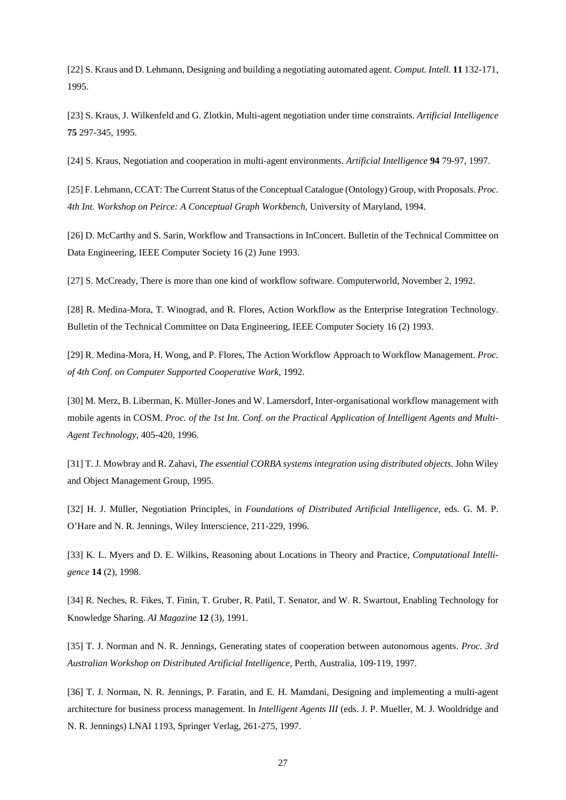[22]S. Kraus and D. Lehmann, Designing and building a negotiating automated agent. *Comput. Intell.* **11** 132-171, 1995.

[23] S. Kraus, J. Wilkenfeld and G. Zlotkin, Multi-agent negotiation under time constraints. *Artificial Intelligence* **75** 297-345, 1995.

[24] S. Kraus, Negotiation and cooperation in multi-agent environments. *Artificial Intelligence* **94** 79-97, 1997.

[25] F. Lehmann, CCAT: The Current Status of the Conceptual Catalogue (Ontology) Group, with Proposals. *Proc. 4th Int. Workshop on Peirce: A Conceptual Graph Workbench*, University of Maryland, 1994.

[26] D. McCarthy and S. Sarin, Workflow and Transactions in InConcert. Bulletin of the Technical Committee on Data Engineering, IEEE Computer Society 16 (2) June 1993.

[27] S. McCready, There is more than one kind of workflow software. Computerworld, November 2, 1992.

[28] R. Medina-Mora, T. Winograd, and R. Flores, Action Workflow as the Enterprise Integration Technology. Bulletin of the Technical Committee on Data Engineering, IEEE Computer Society 16 (2) 1993.

[29] R. Medina-Mora, H. Wong, and P. Flores, The Action Workflow Approach to Workflow Management. *Proc. of 4th Conf. on Computer Supported Cooperative Work*, 1992.

[30] M. Merz, B. Liberman, K. Müller-Jones and W. Lamersdorf, Inter-organisational workflow management with mobile agents in COSM. *Proc. of the 1st Int. Conf. on the Practical Application of Intelligent Agents and Multi-Agent Technology*, 405-420, 1996.

[31] T. J. Mowbray and R. Zahavi,*The essential CORBA systems integration using distributed objects*. John Wiley and Object Management Group, 1995.

[32] H. J. Müller, Negotiation Principles, in *Foundations of Distributed Artificial Intelligence*, eds. G. M. P. O'Hare and N. R. Jennings, Wiley Interscience, 211-229, 1996.

[33] K. L. Myers and D. E. Wilkins, Reasoning about Locations in Theory and Practice, *Computational Intelligence* **14** (2), 1998.

[34] R. Neches, R. Fikes, T. Finin, T. Gruber, R. Patil, T. Senator, and W. R. Swartout, Enabling Technology for Knowledge Sharing. *AI Magazine* **12** (3), 1991.

[35] T. J. Norman and N. R. Jennings, Generating states of cooperation between autonomous agents. *Proc. 3rd Australian Workshop on Distributed Artificial Intelligence*, Perth, Australia, 109-119, 1997.

[36] T. J. Norman, N. R. Jennings, P. Faratin, and E. H. Mamdani, Designing and implementing a multi-agent architecture for business process management. In *Intelligent Agents III* (eds. J. P. Mueller, M. J. Wooldridge and N. R. Jennings) LNAI 1193, Springer Verlag, 261-275, 1997.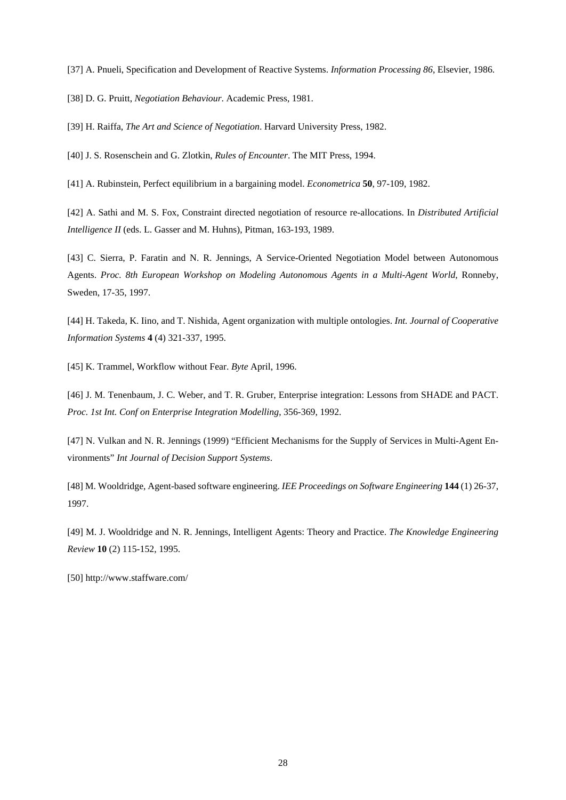[37] A. Pnueli, Specification and Development of Reactive Systems. *Information Processing 86*, Elsevier, 1986.

[38] D. G. Pruitt, *Negotiation Behaviour*. Academic Press, 1981.

[39] H. Raiffa, *The Art and Science of Negotiation*. Harvard University Press, 1982.

[40] J. S. Rosenschein and G. Zlotkin, *Rules of Encounter*. The MIT Press, 1994.

[41] A. Rubinstein, Perfect equilibrium in a bargaining model. *Econometrica* **50**, 97-109, 1982.

[42] A. Sathi and M. S. Fox, Constraint directed negotiation of resource re-allocations. In *Distributed Artificial Intelligence II* (eds. L. Gasser and M. Huhns), Pitman, 163-193, 1989.

[43] C. Sierra, P. Faratin and N. R. Jennings, A Service-Oriented Negotiation Model between Autonomous Agents. *Proc. 8th European Workshop on Modeling Autonomous Agents in a Multi-Agent World,* Ronneby, Sweden, 17-35, 1997.

[44] H. Takeda, K. Iino, and T. Nishida, Agent organization with multiple ontologies. *Int. Journal of Cooperative Information Systems* **4** (4) 321-337, 1995.

[45] K. Trammel, Workflow without Fear. *Byte* April, 1996.

[46] J. M. Tenenbaum, J. C. Weber, and T. R. Gruber, Enterprise integration: Lessons from SHADE and PACT. *Proc. 1st Int. Conf on Enterprise Integration Modelling*, 356-369, 1992.

[47] N. Vulkan and N. R. Jennings (1999) "Efficient Mechanisms for the Supply of Services in Multi-Agent Environments" *Int Journal of Decision Support Systems*.

[48] M. Wooldridge, Agent-based software engineering. *IEE Proceedings on Software Engineering* **144** (1) 26-37, 1997.

[49] M. J. Wooldridge and N. R. Jennings, Intelligent Agents: Theory and Practice. *The Knowledge Engineering Review* **10** (2) 115-152, 1995.

[50] http://www.staffware.com/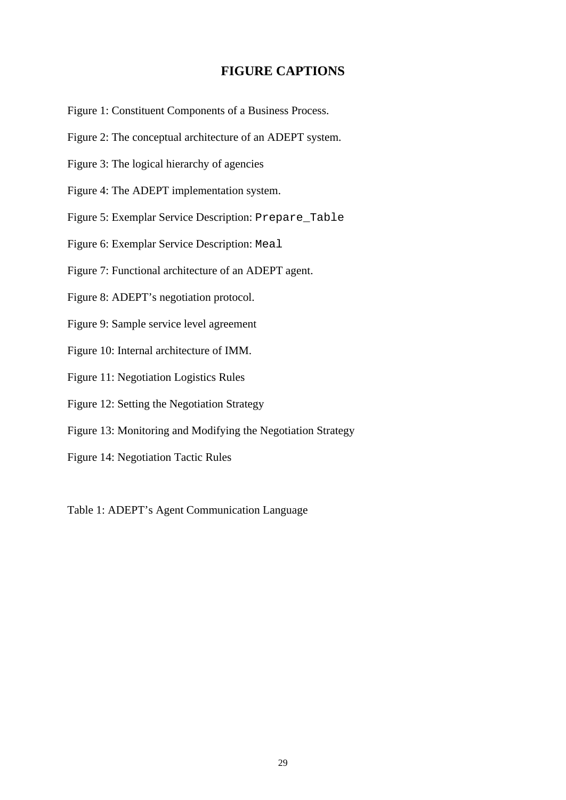# **FIGURE CAPTIONS**

Figure 1: Constituent Components of a Business Process.

- Figure 2: The conceptual architecture of an ADEPT system.
- Figure 3: The logical hierarchy of agencies
- Figure 4: The ADEPT implementation system.
- Figure 5: Exemplar Service Description: Prepare\_Table
- Figure 6: Exemplar Service Description: Meal
- Figure 7: Functional architecture of an ADEPT agent.
- Figure 8: ADEPT's negotiation protocol.
- Figure 9: Sample service level agreement
- Figure 10: Internal architecture of IMM.
- Figure 11: Negotiation Logistics Rules
- Figure 12: Setting the Negotiation Strategy
- Figure 13: Monitoring and Modifying the Negotiation Strategy
- Figure 14: Negotiation Tactic Rules

Table 1: ADEPT's Agent Communication Language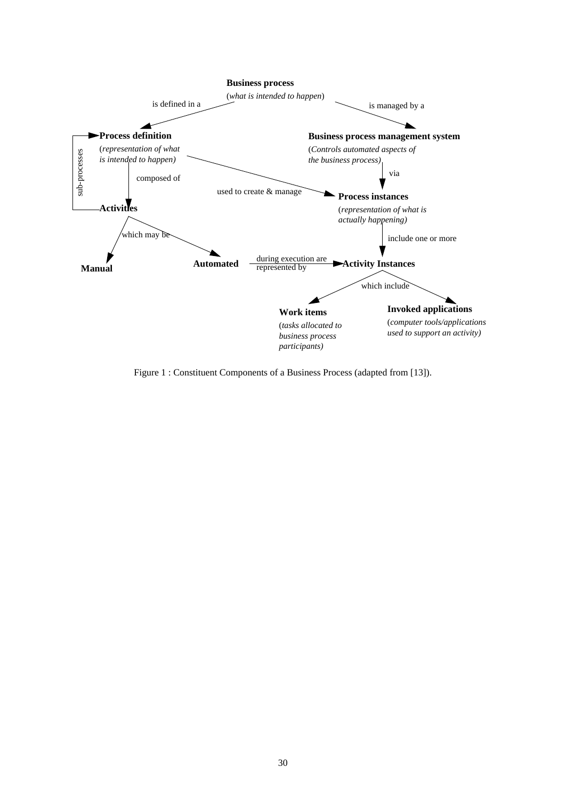

Figure 1 : Constituent Components of a Business Process (adapted from [13]).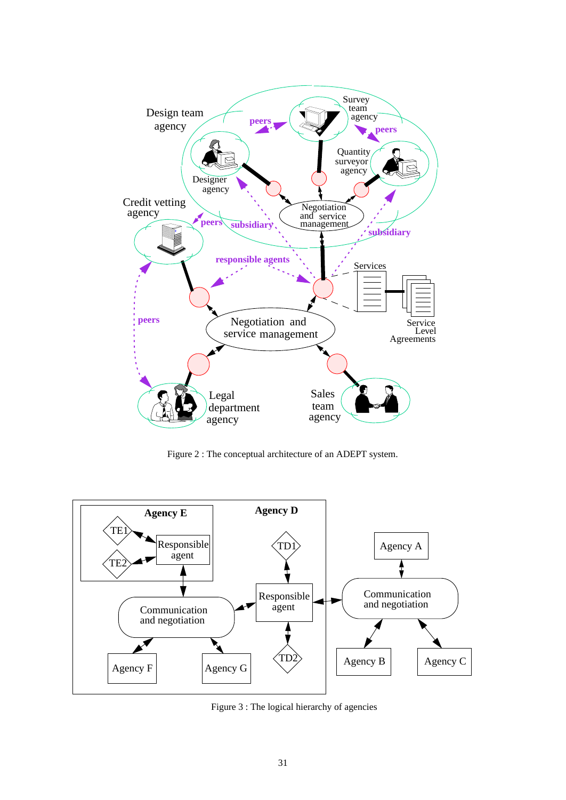

Figure 2 : The conceptual architecture of an ADEPT system.



Figure 3 : The logical hierarchy of agencies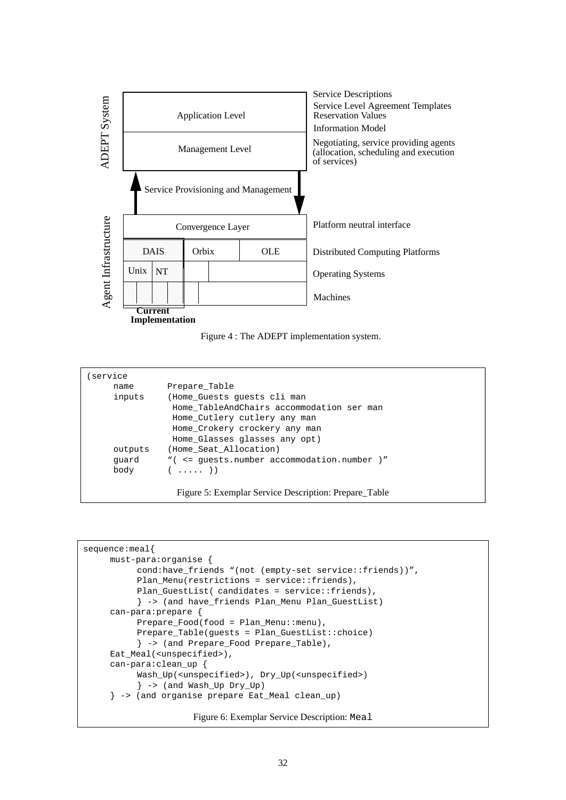



| Prepare Table                                         |  |  |  |  |  |  |
|-------------------------------------------------------|--|--|--|--|--|--|
| (Home Guests quests cli man                           |  |  |  |  |  |  |
| Home TableAndChairs accommodation ser man             |  |  |  |  |  |  |
| Home_Cutlery cutlery any man                          |  |  |  |  |  |  |
| Home_Crokery crockery any man                         |  |  |  |  |  |  |
| Home Glasses glasses any opt)                         |  |  |  |  |  |  |
| (Home Seat Allocation)                                |  |  |  |  |  |  |
| "( <= quests.number accommodation.number )"           |  |  |  |  |  |  |
| $($ $($ $\ldots$ $)$ $)$                              |  |  |  |  |  |  |
|                                                       |  |  |  |  |  |  |
| Figure 5: Exemplar Service Description: Prepare Table |  |  |  |  |  |  |
|                                                       |  |  |  |  |  |  |

```
sequence:meal{
     must-para:organise {
          cond:have_friends "(not (empty-set service::friends))",
          Plan_Menu(restrictions = service::friends),
          Plan_GuestList( candidates = service::friends),
          } -> (and have_friends Plan_Menu Plan_GuestList)
     can-para:prepare {
          Prepare_Food(food = Plan_Menu::menu),
          Prepare_Table(guests = Plan_GuestList::choice)
          } -> (and Prepare_Food Prepare_Table),
     Eat_Meal(<unspecified>),
     can-para:clean_up {
          Wash_Up(<unspecified>), Dry_Up(<unspecified>)
          } -> (and Wash_Up Dry_Up)
     } -> (and organise prepare Eat_Meal clean_up)
                      Figure 6: Exemplar Service Description: Meal
```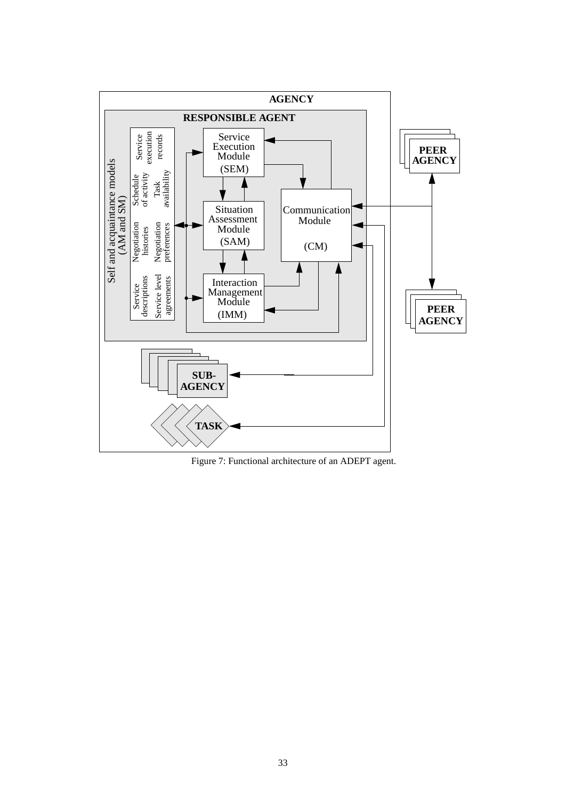

Figure 7: Functional architecture of an ADEPT agent.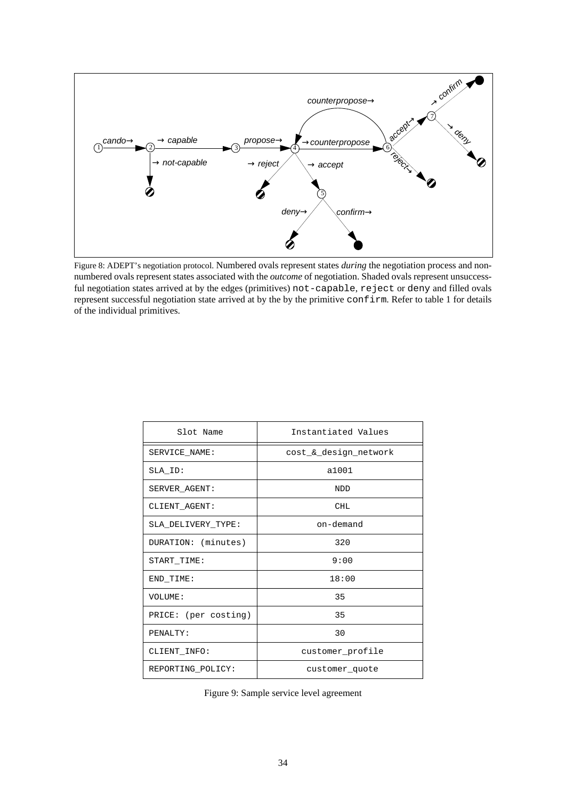

Figure 8: ADEPT's negotiation protocol. Numbered ovals represent states *during* the negotiation process and nonnumbered ovals represent states associated with the *outcome* of negotiation. Shaded ovals represent unsuccessful negotiation states arrived at by the edges (primitives) not-capable, reject or deny and filled ovals represent successful negotiation state arrived at by the by the primitive confirm. Refer to table 1 for details of the individual primitives.

| Slot Name            | Instantiated Values   |  |
|----------------------|-----------------------|--|
| SERVICE NAME:        | cost & design network |  |
| SLA ID:              | a1001                 |  |
| SERVER AGENT:        | <b>NDD</b>            |  |
| CLIENT AGENT:        | <b>CHL</b>            |  |
| SLA DELIVERY TYPE:   | on-demand             |  |
| DURATION: (minutes)  | 320                   |  |
| START TIME:          | 9:00                  |  |
| END_TIME:            | 18:00                 |  |
| VOLUME:              | 35                    |  |
| PRICE: (per costing) | 35                    |  |
| PENALTY:             | 30                    |  |
| CLIENT INFO:         | customer profile      |  |
| REPORTING POLICY:    | customer_quote        |  |

Figure 9: Sample service level agreement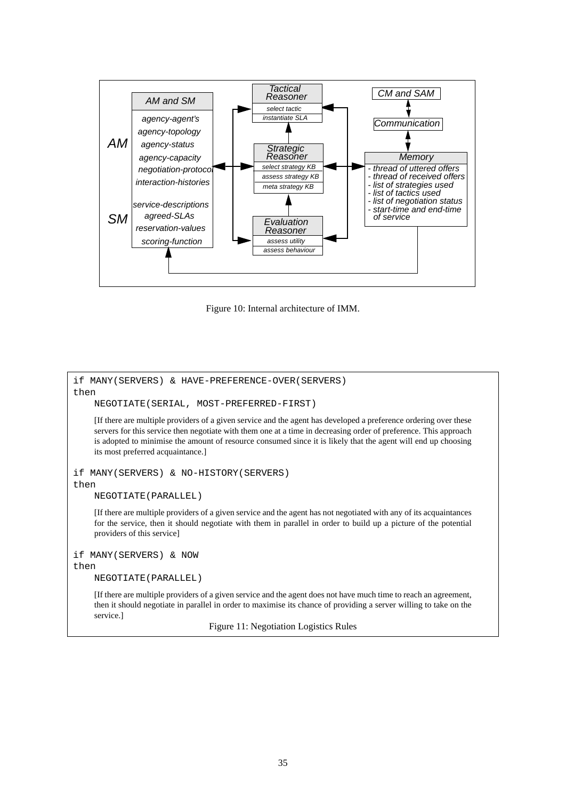

Figure 10: Internal architecture of IMM.

```
if MANY(SERVERS) & HAVE-PREFERENCE-OVER(SERVERS)
then
     NEGOTIATE(SERIAL, MOST-PREFERRED-FIRST)
     [If there are multiple providers of a given service and the agent has developed a preference ordering over these
     servers for this service then negotiate with them one at a time in decreasing order of preference. This approach
     is adopted to minimise the amount of resource consumed since it is likely that the agent will end up choosing
     its most preferred acquaintance.]
if MANY(SERVERS) & NO-HISTORY(SERVERS)
then
     NEGOTIATE(PARALLEL)
     [If there are multiple providers of a given service and the agent has not negotiated with any of its acquaintances
     for the service, then it should negotiate with them in parallel in order to build up a picture of the potential
     providers of this service]
if MANY(SERVERS) & NOW
then
     NEGOTIATE(PARALLEL)
     [If there are multiple providers of a given service and the agent does not have much time to reach an agreement,
     then it should negotiate in parallel in order to maximise its chance of providing a server willing to take on the
     service.]
```
Figure 11: Negotiation Logistics Rules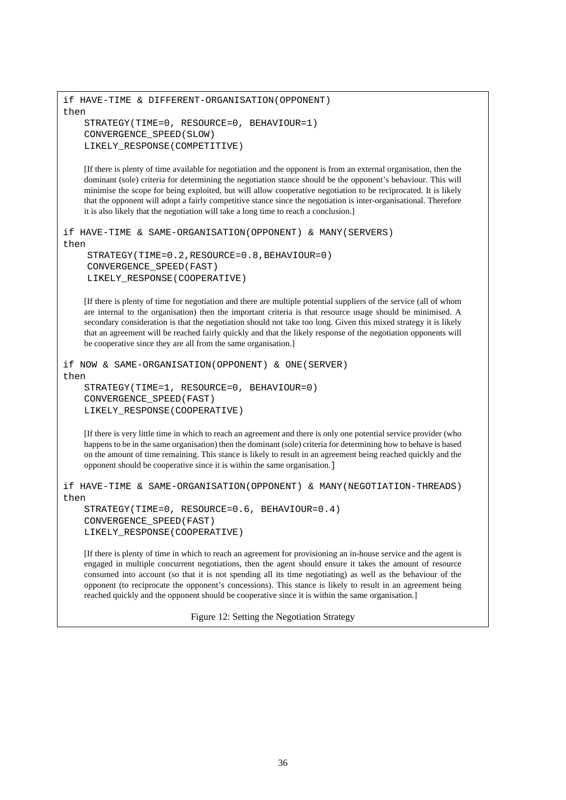```
if HAVE-TIME & DIFFERENT-ORGANISATION(OPPONENT)
then
   STRATEGY(TIME=0, RESOURCE=0, BEHAVIOUR=1)
   CONVERGENCE_SPEED(SLOW)
   LIKELY_RESPONSE(COMPETITIVE)
```
[If there is plenty of time available for negotiation and the opponent is from an external organisation, then the dominant (sole) criteria for determining the negotiation stance should be the opponent's behaviour. This will minimise the scope for being exploited, but will allow cooperative negotiation to be reciprocated. It is likely that the opponent will adopt a fairly competitive stance since the negotiation is inter-organisational. Therefore it is also likely that the negotiation will take a long time to reach a conclusion.]

```
if HAVE-TIME & SAME-ORGANISATION(OPPONENT) & MANY(SERVERS)
then
    STRATEGY(TIME=0.2,RESOURCE=0.8,BEHAVIOUR=0)
    CONVERGENCE_SPEED(FAST)
    LIKELY_RESPONSE(COOPERATIVE)
```
[If there is plenty of time for negotiation and there are multiple potential suppliers of the service (all of whom are internal to the organisation) then the important criteria is that resource usage should be minimised. A secondary consideration is that the negotiation should not take too long. Given this mixed strategy it is likely that an agreement will be reached fairly quickly and that the likely response of the negotiation opponents will be cooperative since they are all from the same organisation.]

```
if NOW & SAME-ORGANISATION(OPPONENT) & ONE(SERVER)
then
   STRATEGY(TIME=1, RESOURCE=0, BEHAVIOUR=0)
   CONVERGENCE_SPEED(FAST)
   LIKELY_RESPONSE(COOPERATIVE)
```
[If there is very little time in which to reach an agreement and there is only one potential service provider (who happens to be in the same organisation) then the dominant (sole) criteria for determining how to behave is based on the amount of time remaining. This stance is likely to result in an agreement being reached quickly and the opponent should be cooperative since it is within the same organisation.]

```
if HAVE-TIME & SAME-ORGANISATION(OPPONENT) & MANY(NEGOTIATION-THREADS)
then
```

```
STRATEGY(TIME=0, RESOURCE=0.6, BEHAVIOUR=0.4)
CONVERGENCE_SPEED(FAST)
LIKELY_RESPONSE(COOPERATIVE)
```
[If there is plenty of time in which to reach an agreement for provisioning an in-house service and the agent is engaged in multiple concurrent negotiations, then the agent should ensure it takes the amount of resource consumed into account (so that it is not spending all its time negotiating) as well as the behaviour of the opponent (to reciprocate the opponent's concessions). This stance is likely to result in an agreement being reached quickly and the opponent should be cooperative since it is within the same organisation.]

Figure 12: Setting the Negotiation Strategy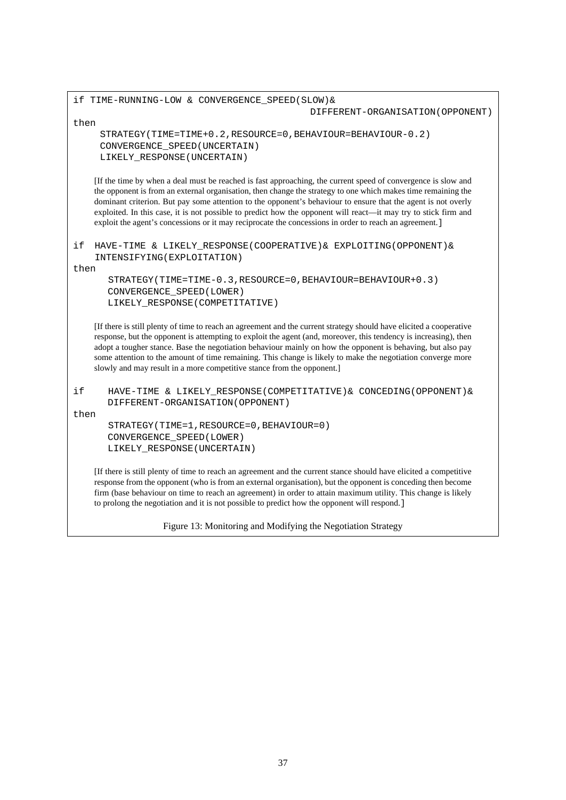|            | if TIME-RUNNING-LOW & CONVERGENCE SPEED(SLOW) &                                                                                                                                                                                                                                                                                                                                                                                                                                                                                                                              |
|------------|------------------------------------------------------------------------------------------------------------------------------------------------------------------------------------------------------------------------------------------------------------------------------------------------------------------------------------------------------------------------------------------------------------------------------------------------------------------------------------------------------------------------------------------------------------------------------|
|            | DIFFERENT-ORGANISATION (OPPONENT)                                                                                                                                                                                                                                                                                                                                                                                                                                                                                                                                            |
| then       |                                                                                                                                                                                                                                                                                                                                                                                                                                                                                                                                                                              |
|            | STRATEGY(TIME=TIME+0.2, RESOURCE=0, BEHAVIOUR=BEHAVIOUR-0.2)<br>CONVERGENCE_SPEED (UNCERTAIN)<br>LIKELY_RESPONSE(UNCERTAIN)                                                                                                                                                                                                                                                                                                                                                                                                                                                  |
|            | If the time by when a deal must be reached is fast approaching, the current speed of convergence is slow and<br>the opponent is from an external organisation, then change the strategy to one which makes time remaining the<br>dominant criterion. But pay some attention to the opponent's behaviour to ensure that the agent is not overly<br>exploited. In this case, it is not possible to predict how the opponent will react—it may try to stick firm and<br>exploit the agent's concessions or it may reciprocate the concessions in order to reach an agreement. ] |
| if<br>then | HAVE-TIME & LIKELY_RESPONSE(COOPERATIVE) & EXPLOITING(OPPONENT) &<br>INTENSIFYING (EXPLOITATION)                                                                                                                                                                                                                                                                                                                                                                                                                                                                             |
|            | $STRATEGY(TIME=TIME-0.3, RESOURCE=0, BEHAVIOUR=BEHAVIOUR+0.3)$<br>CONVERGENCE_SPEED(LOWER)<br>LIKELY RESPONSE (COMPETITATIVE)                                                                                                                                                                                                                                                                                                                                                                                                                                                |
|            | [If there is still plenty of time to reach an agreement and the current strategy should have elicited a cooperative<br>response, but the opponent is attempting to exploit the agent (and, moreover, this tendency is increasing), then<br>adopt a tougher stance. Base the negotiation behaviour mainly on how the opponent is behaving, but also pay<br>some attention to the amount of time remaining. This change is likely to make the negotiation converge more<br>slowly and may result in a more competitive stance from the opponent.]                              |
| if<br>then | HAVE-TIME & LIKELY_RESPONSE(COMPETITATIVE) & CONCEDING(OPPONENT) &<br>DIFFERENT-ORGANISATION (OPPONENT)                                                                                                                                                                                                                                                                                                                                                                                                                                                                      |
|            | STRATEGY (TIME=1, RESOURCE=0, BEHAVIOUR=0)<br>CONVERGENCE_SPEED(LOWER)<br>LIKELY_RESPONSE(UNCERTAIN)                                                                                                                                                                                                                                                                                                                                                                                                                                                                         |
|            | [If there is still plenty of time to reach an agreement and the current stance should have elicited a competitive<br>response from the opponent (who is from an external organisation), but the opponent is conceding then become<br>firm (base behaviour on time to reach an agreement) in order to attain maximum utility. This change is likely<br>to prolong the negotiation and it is not possible to predict how the opponent will respond.]                                                                                                                           |

Figure 13: Monitoring and Modifying the Negotiation Strategy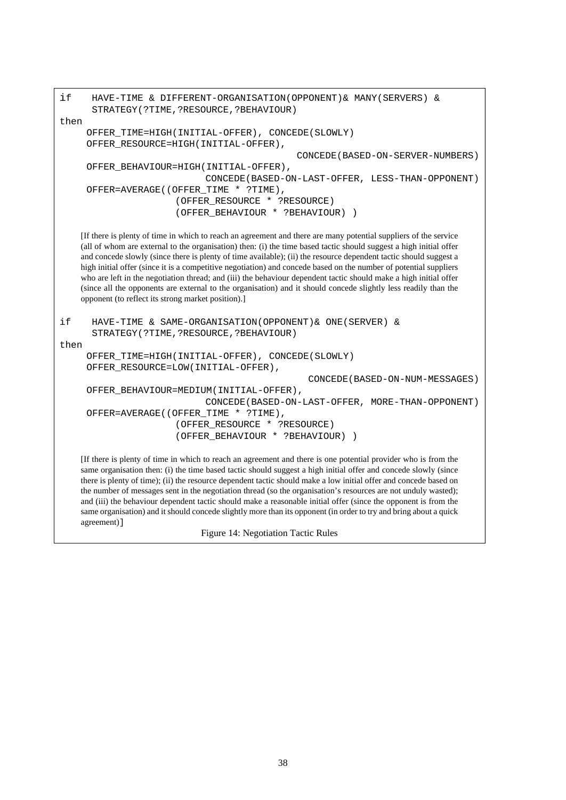if HAVE-TIME & DIFFERENT-ORGANISATION(OPPONENT)& MANY(SERVERS) & STRATEGY(?TIME,?RESOURCE,?BEHAVIOUR) then OFFER\_TIME=HIGH(INITIAL-OFFER), CONCEDE(SLOWLY) OFFER\_RESOURCE=HIGH(INITIAL-OFFER), CONCEDE(BASED-ON-SERVER-NUMBERS) OFFER\_BEHAVIOUR=HIGH(INITIAL-OFFER), CONCEDE(BASED-ON-LAST-OFFER, LESS-THAN-OPPONENT) OFFER=AVERAGE((OFFER TIME \* ?TIME), (OFFER\_RESOURCE \* ?RESOURCE) (OFFER\_BEHAVIOUR \* ?BEHAVIOUR) ) [If there is plenty of time in which to reach an agreement and there are many potential suppliers of the service (all of whom are external to the organisation) then: (i) the time based tactic should suggest a high initial offer and concede slowly (since there is plenty of time available); (ii) the resource dependent tactic should suggest a high initial offer (since it is a competitive negotiation) and concede based on the number of potential suppliers who are left in the negotiation thread; and (iii) the behaviour dependent tactic should make a high initial offer (since all the opponents are external to the organisation) and it should concede slightly less readily than the opponent (to reflect its strong market position).] if HAVE-TIME & SAME-ORGANISATION(OPPONENT)& ONE(SERVER) & STRATEGY(?TIME,?RESOURCE,?BEHAVIOUR) then OFFER\_TIME=HIGH(INITIAL-OFFER), CONCEDE(SLOWLY) OFFER\_RESOURCE=LOW(INITIAL-OFFER), CONCEDE(BASED-ON-NUM-MESSAGES) OFFER\_BEHAVIOUR=MEDIUM(INITIAL-OFFER), CONCEDE(BASED-ON-LAST-OFFER, MORE-THAN-OPPONENT) OFFER=AVERAGE((OFFER\_TIME \* ?TIME), (OFFER\_RESOURCE \* ?RESOURCE) (OFFER\_BEHAVIOUR \* ?BEHAVIOUR) ) [If there is plenty of time in which to reach an agreement and there is one potential provider who is from the same organisation then: (i) the time based tactic should suggest a high initial offer and concede slowly (since there is plenty of time); (ii) the resource dependent tactic should make a low initial offer and concede based on the number of messages sent in the negotiation thread (so the organisation's resources are not unduly wasted); and (iii) the behaviour dependent tactic should make a reasonable initial offer (since the opponent is from the same organisation) and it should concede slightly more than its opponent (in order to try and bring about a quick agreement)]

Figure 14: Negotiation Tactic Rules